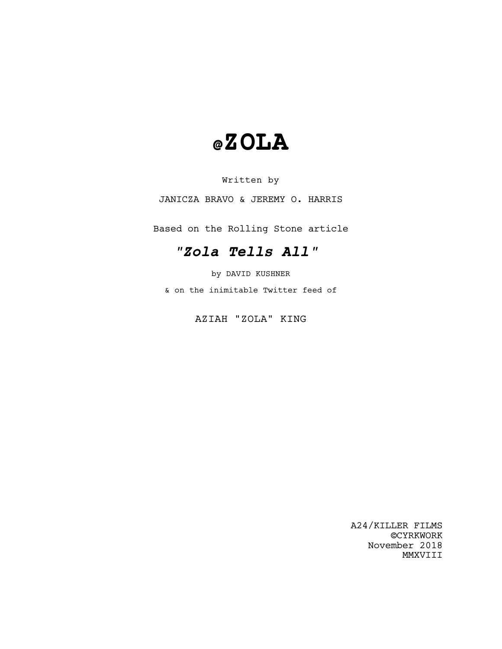# **@ZOLA**

## Written by

JANICZA BRAVO & JEREMY O. HARRIS

Based on the Rolling Stone article

## *"Zola Tells All"*

by DAVID KUSHNER

& on the inimitable Twitter feed of

AZIAH "ZOLA" KING

A24/KILLER FILMS ©CYRKWORK November 2018 MMXVIII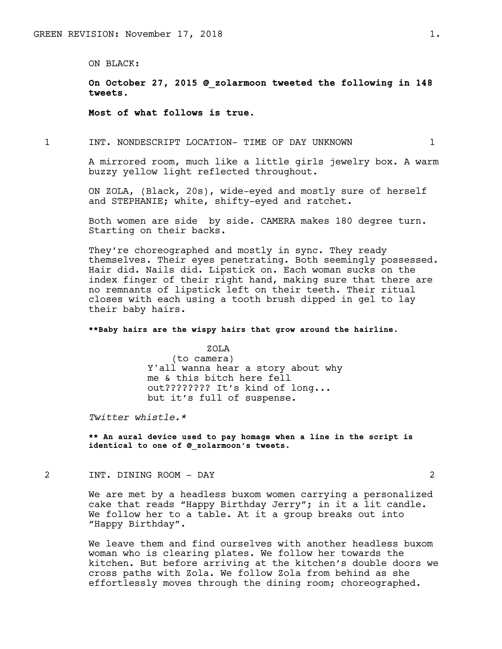ON BLACK:

## **On October 27, 2015 @\_zolarmoon tweeted the following in 148 tweets.**

**Most of what follows is true.**

1 INT. NONDESCRIPT LOCATION- TIME OF DAY UNKNOWN 1

A mirrored room, much like a little girls jewelry box. A warm buzzy yellow light reflected throughout.

ON ZOLA, (Black, 20s), wide-eyed and mostly sure of herself and STEPHANIE; white, shifty-eyed and ratchet.

Both women are side by side. CAMERA makes 180 degree turn. Starting on their backs.

They're choreographed and mostly in sync. They ready themselves. Their eyes penetrating. Both seemingly possessed. Hair did. Nails did. Lipstick on. Each woman sucks on the index finger of their right hand, making sure that there are no remnants of lipstick left on their teeth. Their ritual closes with each using a tooth brush dipped in gel to lay their baby hairs.

**\*\*Baby hairs are the wispy hairs that grow around the hairline.**

ZOLA (to camera) Y'all wanna hear a story about why me & this bitch here fell out???????? It's kind of long...

but it's full of suspense.

*Twitter whistle.\**

**\*\* An aural device used to pay homage when a line in the script is identical to one of @\_zolarmoon's tweets.**

2 INT. DINING ROOM - DAY 2

We are met by a headless buxom women carrying a personalized cake that reads "Happy Birthday Jerry"; in it a lit candle. We follow her to a table. At it a group breaks out into "Happy Birthday".

We leave them and find ourselves with another headless buxom woman who is clearing plates. We follow her towards the kitchen. But before arriving at the kitchen's double doors we cross paths with Zola. We follow Zola from behind as she effortlessly moves through the dining room; choreographed.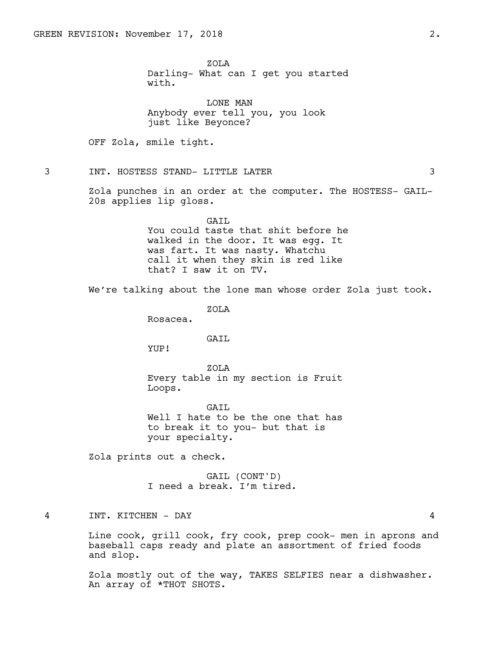ZOLA Darling- What can I get you started with. LONE MAN Anybody ever tell you, you look just like Beyonce? OFF Zola, smile tight. 3 INT. HOSTESS STAND- LITTLE LATER 3 Zola punches in an order at the computer. The HOSTESS- GAIL-20s applies lip gloss. GAIL You could taste that shit before he walked in the door. It was egg. It was fart. It was nasty. Whatchu call it when they skin is red like that? I saw it on TV. We're talking about the lone man whose order Zola just took. ZOLA Rosacea. GAIL YUP! ZOLA Every table in my section is Fruit Loops. GATL Well I hate to be the one that has to break it to you- but that is your specialty. Zola prints out a check. GAIL (CONT'D) I need a break. I'm tired.

4 INT. KITCHEN - DAY 4

Line cook, grill cook, fry cook, prep cook- men in aprons and baseball caps ready and plate an assortment of fried foods and slop.

Zola mostly out of the way, TAKES SELFIES near a dishwasher. An array of \*THOT SHOTS.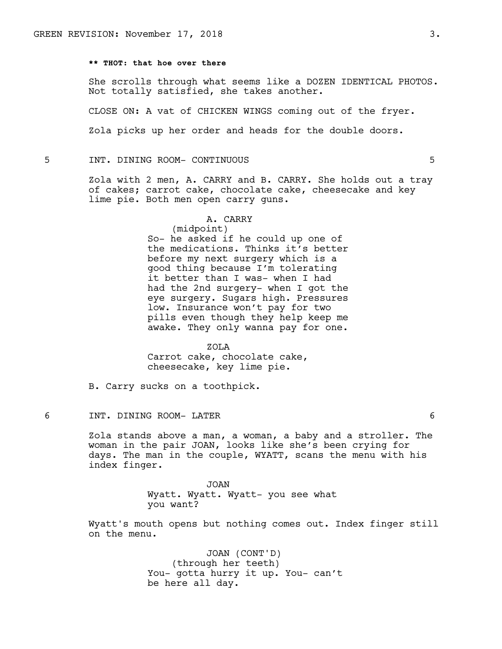#### **\*\* THOT: that hoe over there**

She scrolls through what seems like a DOZEN IDENTICAL PHOTOS. Not totally satisfied, she takes another.

CLOSE ON: A vat of CHICKEN WINGS coming out of the fryer.

Zola picks up her order and heads for the double doors.

5 INT. DINING ROOM- CONTINUOUS 5

Zola with 2 men, A. CARRY and B. CARRY. She holds out a tray of cakes; carrot cake, chocolate cake, cheesecake and key lime pie. Both men open carry guns.

## A. CARRY

(midpoint) So- he asked if he could up one of the medications. Thinks it's better before my next surgery which is a good thing because I'm tolerating it better than I was- when I had had the 2nd surgery- when I got the eye surgery. Sugars high. Pressures low. Insurance won't pay for two pills even though they help keep me awake. They only wanna pay for one.

ZOLA

Carrot cake, chocolate cake, cheesecake, key lime pie.

B. Carry sucks on a toothpick.

6 INT. DINING ROOM- LATER 6

Zola stands above a man, a woman, a baby and a stroller. The woman in the pair JOAN, looks like she's been crying for days. The man in the couple, WYATT, scans the menu with his index finger.

> JOAN Wyatt. Wyatt. Wyatt- you see what you want?

Wyatt's mouth opens but nothing comes out. Index finger still on the menu.

> JOAN (CONT'D) (through her teeth) You- gotta hurry it up. You- can't be here all day.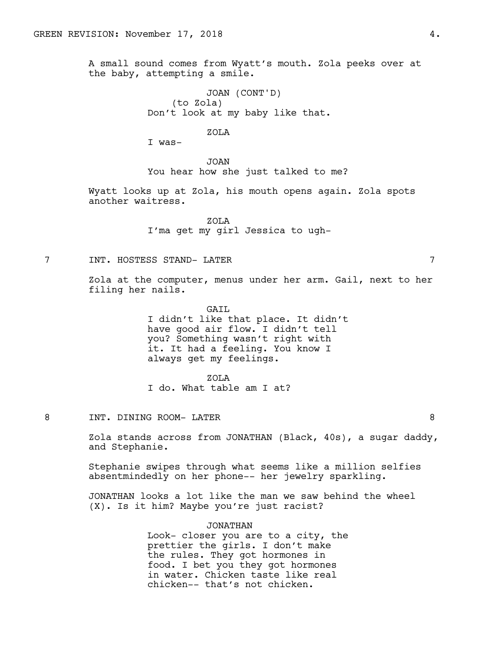A small sound comes from Wyatt's mouth. Zola peeks over at the baby, attempting a smile.

> JOAN (CONT'D) (to Zola) Don't look at my baby like that.

> > ZOLA

I was-

JOAN You hear how she just talked to me?

Wyatt looks up at Zola, his mouth opens again. Zola spots another waitress.

> ZOLA I'ma get my girl Jessica to ugh-

7 INT. HOSTESS STAND- LATER 7

Zola at the computer, menus under her arm. Gail, next to her filing her nails.

> GAIL I didn't like that place. It didn't have good air flow. I didn't tell you? Something wasn't right with it. It had a feeling. You know I always get my feelings.

ZOLA I do. What table am I at?

8 INT. DINING ROOM- LATER 8

Zola stands across from JONATHAN (Black, 40s), a sugar daddy, and Stephanie.

Stephanie swipes through what seems like a million selfies absentmindedly on her phone-- her jewelry sparkling.

JONATHAN looks a lot like the man we saw behind the wheel (X). Is it him? Maybe you're just racist?

JONATHAN

Look- closer you are to a city, the prettier the girls. I don't make the rules. They got hormones in food. I bet you they got hormones in water. Chicken taste like real chicken-- that's not chicken.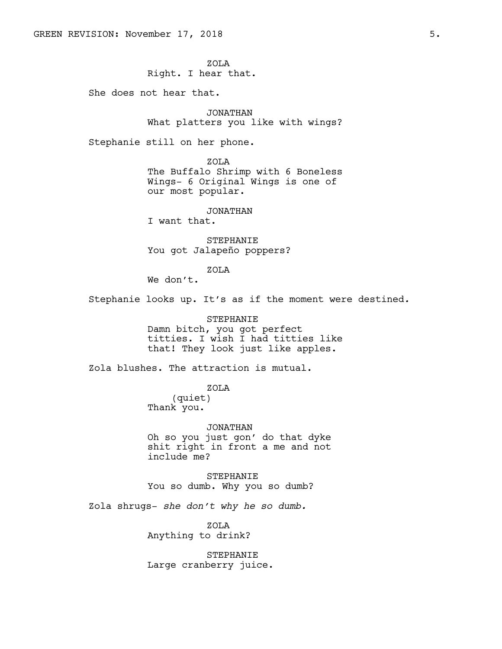ZOLA Right. I hear that.

She does not hear that.

JONATHAN What platters you like with wings?

Stephanie still on her phone.

ZOLA The Buffalo Shrimp with 6 Boneless Wings- 6 Original Wings is one of our most popular.

JONATHAN

I want that.

STEPHANIE You got Jalapeño poppers?

ZOLA

We don't.

Stephanie looks up. It's as if the moment were destined*.*

STEPHANIE Damn bitch, you got perfect titties. I wish I had titties like that! They look just like apples.

Zola blushes. The attraction is mutual.

ZOLA

(quiet) Thank you.

JONATHAN Oh so you just gon' do that dyke shit right in front a me and not include me?

STEPHANIE You so dumb. Why you so dumb?

Zola shrugs- *she don't why he so dumb.*

ZOLA Anything to drink?

STEPHANIE Large cranberry juice.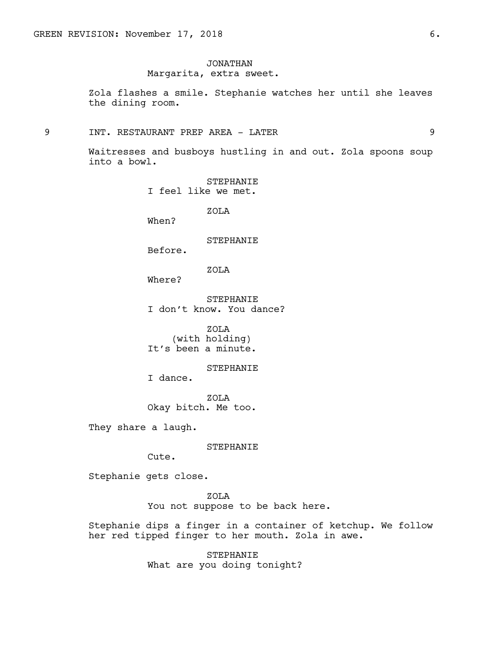## JONATHAN Margarita, extra sweet.

Zola flashes a smile. Stephanie watches her until she leaves the dining room.

9 INT. RESTAURANT PREP AREA - LATER 9

Waitresses and busboys hustling in and out. Zola spoons soup into a bowl.

> STEPHANIE I feel like we met.

> > ZOLA

When?

#### STEPHANIE

Before.

Where?

ZOLA

STEPHANIE I don't know. You dance?

ZOLA (with holding) It's been a minute.

#### STEPHANIE

I dance.

ZOLA Okay bitch. Me too.

They share a laugh.

STEPHANIE

Cute.

Stephanie gets close.

ZOLA

You not suppose to be back here.

Stephanie dips a finger in a container of ketchup. We follow her red tipped finger to her mouth. Zola in awe.

> STEPHANIE What are you doing tonight?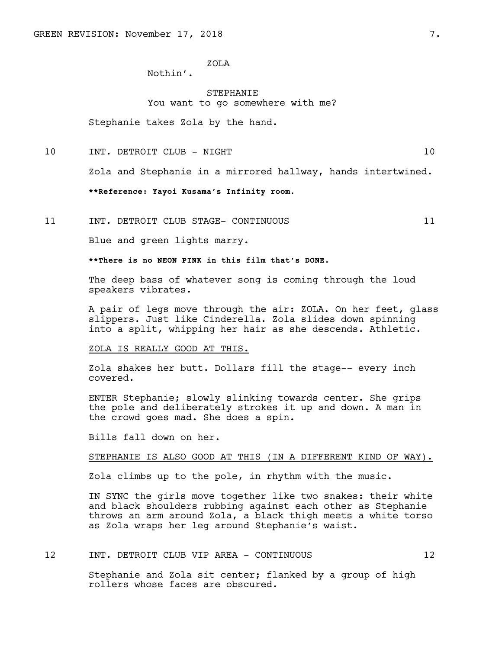ZOLA

Nothin'.

## STEPHANIE You want to go somewhere with me?

Stephanie takes Zola by the hand.

10 INT. DETROIT CLUB - NIGHT 10

Zola and Stephanie in a mirrored hallway, hands intertwined.

**\*\*Reference: Yayoi Kusama's Infinity room.**

## 11 INT. DETROIT CLUB STAGE- CONTINUOUS 11

Blue and green lights marry.

**\*\*There is no NEON PINK in this film that's DONE.**

The deep bass of whatever song is coming through the loud speakers vibrates.

A pair of legs move through the air: ZOLA. On her feet, glass slippers. Just like Cinderella. Zola slides down spinning into a split, whipping her hair as she descends. Athletic.

#### ZOLA IS REALLY GOOD AT THIS.

Zola shakes her butt. Dollars fill the stage-- every inch covered.

ENTER Stephanie; slowly slinking towards center. She grips the pole and deliberately strokes it up and down. A man in the crowd goes mad. She does a spin.

Bills fall down on her.

## STEPHANIE IS ALSO GOOD AT THIS (IN A DIFFERENT KIND OF WAY).

Zola climbs up to the pole, in rhythm with the music.

IN SYNC the girls move together like two snakes: their white and black shoulders rubbing against each other as Stephanie throws an arm around Zola, a black thigh meets a white torso as Zola wraps her leg around Stephanie's waist.

## 12 INT. DETROIT CLUB VIP AREA - CONTINUOUS 12

Stephanie and Zola sit center; flanked by a group of high rollers whose faces are obscured.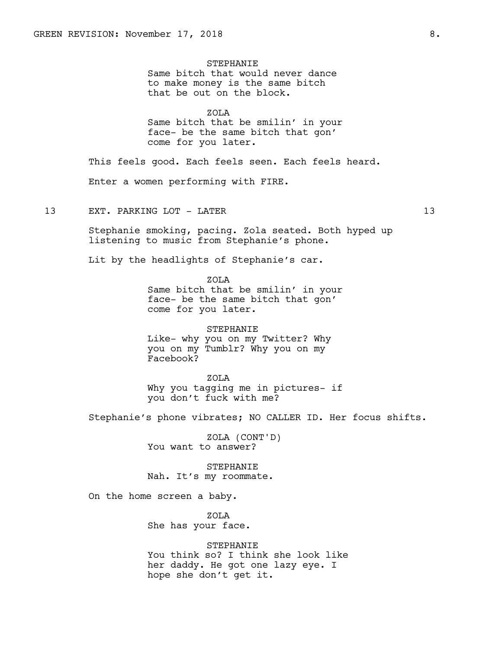**STEPHANIE** Same bitch that would never dance to make money is the same bitch that be out on the block.

ZOLA

Same bitch that be smilin' in your face- be the same bitch that gon' come for you later.

This feels good. Each feels seen. Each feels heard.

Enter a women performing with FIRE.

13 EXT. PARKING LOT - LATER 13

Stephanie smoking, pacing. Zola seated. Both hyped up listening to music from Stephanie's phone.

Lit by the headlights of Stephanie's car.

ZOLA Same bitch that be smilin' in your face- be the same bitch that gon' come for you later.

STEPHANIE Like- why you on my Twitter? Why you on my Tumblr? Why you on my Facebook?

ZOLA Why you tagging me in pictures- if you don't fuck with me?

Stephanie's phone vibrates; NO CALLER ID. Her focus shifts.

ZOLA (CONT'D) You want to answer?

STEPHANIE Nah. It's my roommate.

On the home screen a baby.

ZOLA She has your face.

STEPHANIE You think so? I think she look like her daddy. He got one lazy eye. I hope she don't get it.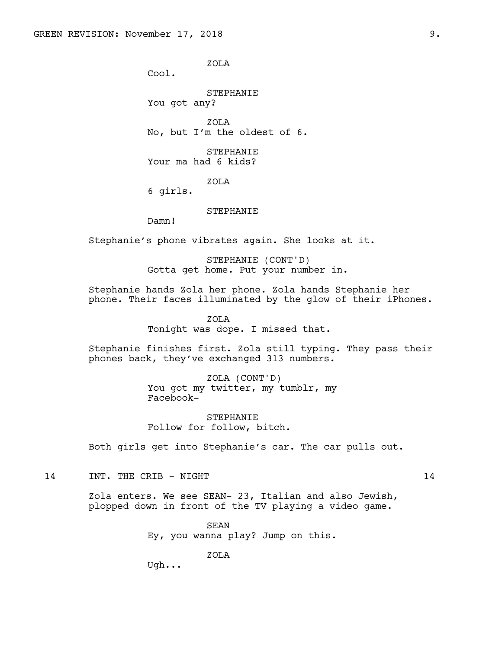Cool.

STEPHANIE You got any?

ZOLA

ZOLA No, but I'm the oldest of 6.

STEPHANIE Your ma had 6 kids?

ZOLA

6 girls.

#### STEPHANIE

Damn!

Stephanie's phone vibrates again. She looks at it.

STEPHANIE (CONT'D) Gotta get home. Put your number in.

Stephanie hands Zola her phone. Zola hands Stephanie her phone. Their faces illuminated by the glow of their iPhones.

> ZOLA Tonight was dope. I missed that.

Stephanie finishes first. Zola still typing. They pass their phones back, they've exchanged 313 numbers.

> ZOLA (CONT'D) You got my twitter, my tumblr, my Facebook-

STEPHANIE Follow for follow, bitch.

Both girls get into Stephanie's car. The car pulls out.

14 INT. THE CRIB – NIGHT 14

Zola enters. We see SEAN- 23, Italian and also Jewish, plopped down in front of the TV playing a video game.

> SEAN Ey, you wanna play? Jump on this.

> > ZOLA

Ugh...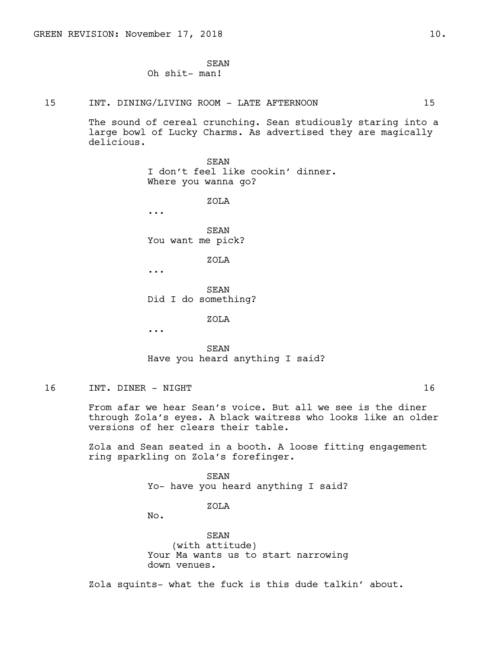SEAN Oh shit- man!

15 INT. DINING/LIVING ROOM - LATE AFTERNOON 15

The sound of cereal crunching. Sean studiously staring into a large bowl of Lucky Charms. As advertised they are magically delicious.

> SEAN I don't feel like cookin' dinner. Where you wanna go?

> > ZOLA

SEAN

You want me pick?

ZOLA

...

...

SEAN Did I do something?

ZOLA

...

SEAN Have you heard anything I said?

16 INT. DINER – NIGHT 16

From afar we hear Sean's voice. But all we see is the diner through Zola's eyes. A black waitress who looks like an older versions of her clears their table.

Zola and Sean seated in a booth. A loose fitting engagement ring sparkling on Zola's forefinger.

> SEAN Yo- have you heard anything I said?

## ZOLA

No.

SEAN (with attitude) Your Ma wants us to start narrowing down venues.

Zola squints- what the fuck is this dude talkin' about.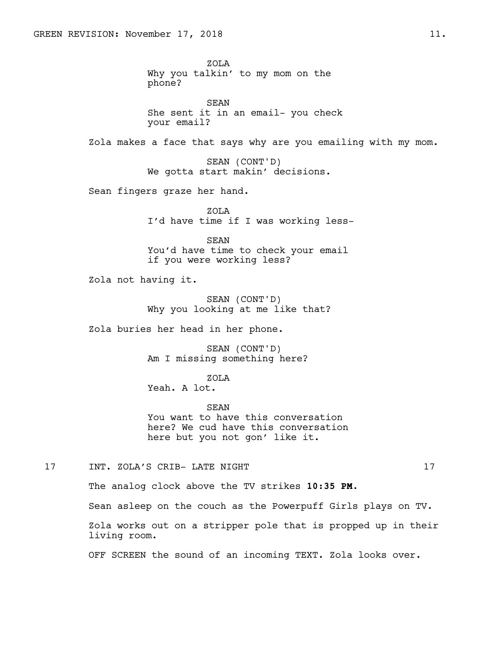ZOLA Why you talkin' to my mom on the phone?

SEAN She sent it in an email- you check your email?

Zola makes a face that says why are you emailing with my mom.

SEAN (CONT'D) We gotta start makin' decisions.

Sean fingers graze her hand.

ZOLA I'd have time if I was working less-

SEAN You'd have time to check your email if you were working less?

Zola not having it.

SEAN (CONT'D) Why you looking at me like that?

Zola buries her head in her phone.

SEAN (CONT'D) Am I missing something here?

ZOLA Yeah. A lot.

SEAN You want to have this conversation here? We cud have this conversation here but you not gon' like it.

17 INT. ZOLA'S CRIB- LATE NIGHT 17

The analog clock above the TV strikes **10:35 PM**.

Sean asleep on the couch as the Powerpuff Girls plays on TV.

Zola works out on a stripper pole that is propped up in their living room.

OFF SCREEN the sound of an incoming TEXT. Zola looks over.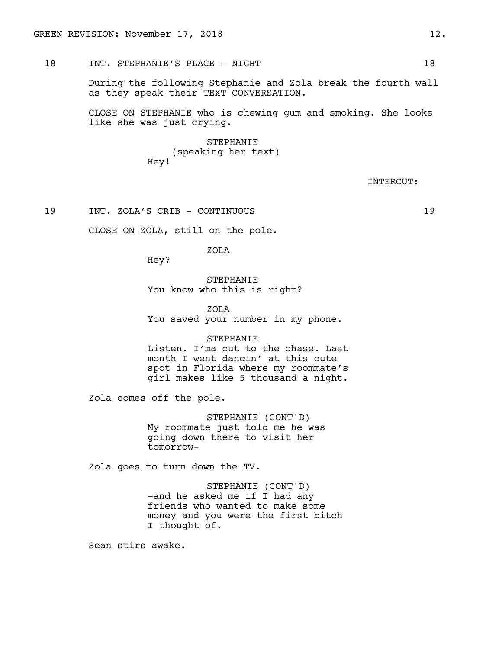18 INT. STEPHANIE'S PLACE - NIGHT 18

During the following Stephanie and Zola break the fourth wall as they speak their TEXT CONVERSATION.

CLOSE ON STEPHANIE who is chewing gum and smoking. She looks like she was just crying.

> STEPHANIE (speaking her text) Hey!

> > INTERCUT:

19 INT. ZOLA'S CRIB - CONTINUOUS 19

CLOSE ON ZOLA, still on the pole.

ZOLA

Hey?

STEPHANIE You know who this is right?

ZOLA You saved your number in my phone.

STEPHANIE

Listen. I'ma cut to the chase. Last month I went dancin' at this cute spot in Florida where my roommate's girl makes like 5 thousand a night.

Zola comes off the pole.

STEPHANIE (CONT'D) My roommate just told me he was going down there to visit her tomorrow-

Zola goes to turn down the TV.

STEPHANIE (CONT'D) -and he asked me if I had any friends who wanted to make some money and you were the first bitch I thought of.

Sean stirs awake.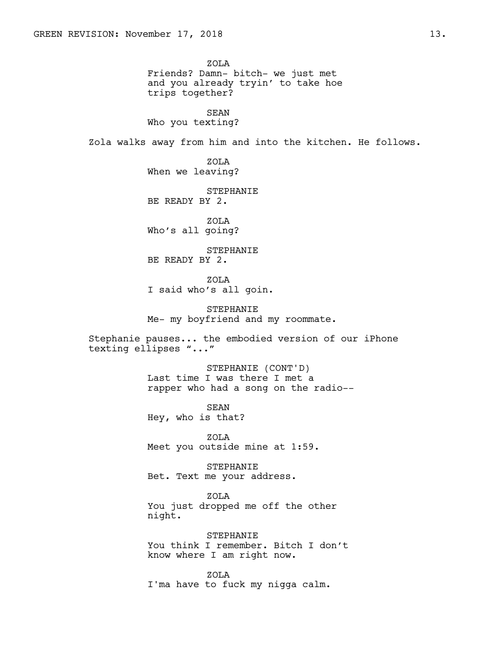ZOLA Friends? Damn- bitch- we just met and you already tryin' to take hoe trips together? SEAN Who you texting? Zola walks away from him and into the kitchen. He follows. ZOLA When we leaving? STEPHANIE BE READY BY 2. ZOLA Who's all going? STEPHANIE BE READY BY 2. ZOLA I said who's all goin. STEPHANIE Me- my boyfriend and my roommate. Stephanie pauses... the embodied version of our iPhone texting ellipses "..." STEPHANIE (CONT'D) Last time I was there I met a rapper who had a song on the radio-- SEAN Hey, who is that? ZOLA Meet you outside mine at 1:59. STEPHANIE Bet. Text me your address. ZOLA You just dropped me off the other night. STEPHANIE You think I remember. Bitch I don't know where I am right now.

> ZOLA I'ma have to fuck my nigga calm.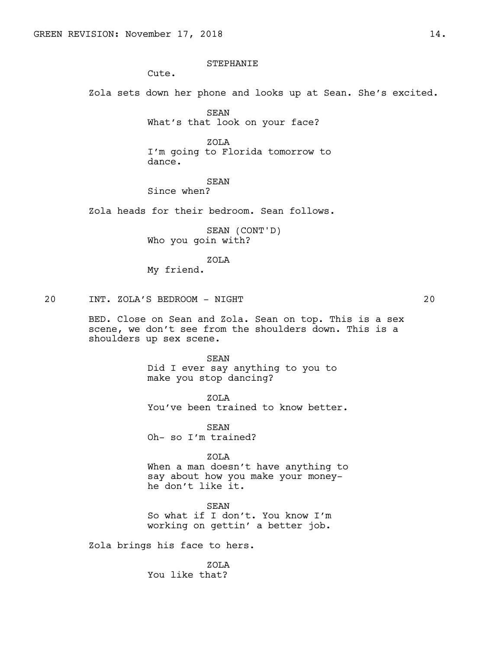STEPHANIE

Cute.

Zola sets down her phone and looks up at Sean. She's excited.

SEAN What's that look on your face?

ZOLA I'm going to Florida tomorrow to dance.

## SEAN

Since when?

Zola heads for their bedroom. Sean follows.

SEAN (CONT'D) Who you goin with?

ZOLA

My friend.

20 INT. ZOLA'S BEDROOM - NIGHT 20

BED. Close on Sean and Zola. Sean on top. This is a sex scene, we don't see from the shoulders down. This is a shoulders up sex scene.

> SEAN Did I ever say anything to you to make you stop dancing?

ZOLA You've been trained to know better.

SEAN Oh- so I'm trained?

## ZOLA

When a man doesn't have anything to say about how you make your moneyhe don't like it.

SEAN So what if I don't. You know I'm working on gettin' a better job.

Zola brings his face to hers.

ZOLA You like that?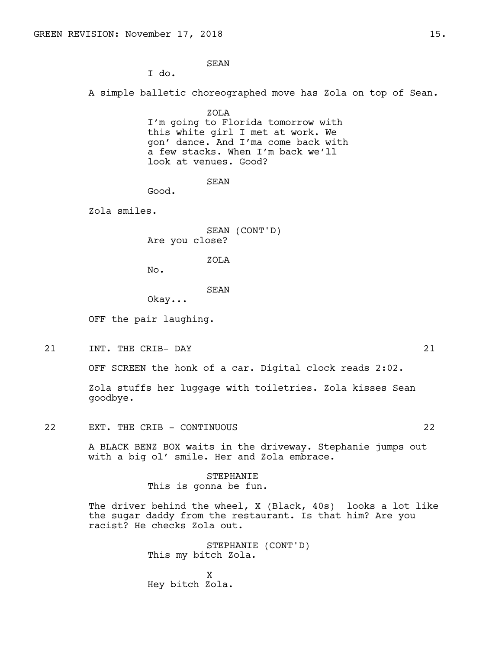SEAN

I do.

A simple balletic choreographed move has Zola on top of Sean.

ZOLA I'm going to Florida tomorrow with this white girl I met at work. We gon' dance. And I'ma come back with a few stacks. When I'm back we'll look at venues. Good?

SEAN

Good.

Zola smiles.

SEAN (CONT'D) Are you close?

ZOLA

No.

## SEAN

Okay...

OFF the pair laughing.

21 INT. THE CRIB- DAY 21

OFF SCREEN the honk of a car. Digital clock reads 2:02.

Zola stuffs her luggage with toiletries. Zola kisses Sean goodbye.

22 EXT. THE CRIB - CONTINUOUS 22

A BLACK BENZ BOX waits in the driveway. Stephanie jumps out with a big ol' smile. Her and Zola embrace.

> STEPHANIE This is gonna be fun.

The driver behind the wheel, X (Black, 40s) looks a lot like the sugar daddy from the restaurant. Is that him? Are you racist? He checks Zola out.

> STEPHANIE (CONT'D) This my bitch Zola.

X Hey bitch Zola.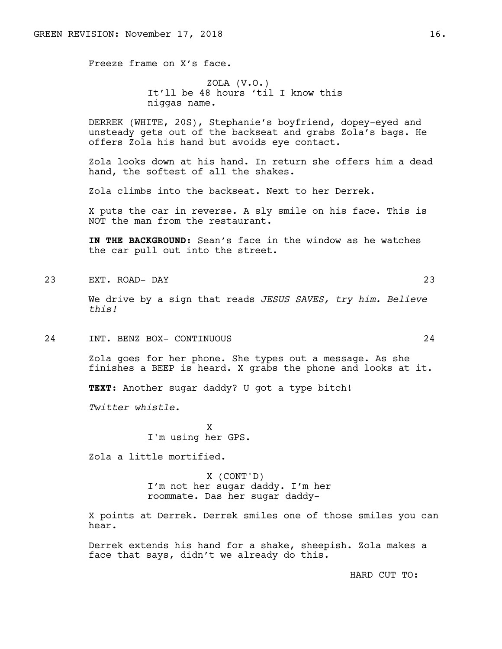Freeze frame on X's face.

ZOLA (V.O.) It'll be 48 hours 'til I know this niggas name.

DERREK (WHITE, 20S), Stephanie's boyfriend, dopey-eyed and unsteady gets out of the backseat and grabs Zola's bags. He offers Zola his hand but avoids eye contact.

Zola looks down at his hand. In return she offers him a dead hand, the softest of all the shakes.

Zola climbs into the backseat. Next to her Derrek.

X puts the car in reverse. A sly smile on his face. This is NOT the man from the restaurant.

**IN THE BACKGROUND:** Sean's face in the window as he watches the car pull out into the street.

23 EXT. ROAD- DAY 23

We drive by a sign that reads *JESUS SAVES, try him. Believe this!*

24 INT. BENZ BOX- CONTINUOUS 24

Zola goes for her phone. She types out a message. As she finishes a BEEP is heard. X grabs the phone and looks at it.

**TEXT:** Another sugar daddy? U got a type bitch!

*Twitter whistle.*

X I'm using her GPS.

Zola a little mortified.

X (CONT'D) I'm not her sugar daddy. I'm her roommate. Das her sugar daddy-

X points at Derrek. Derrek smiles one of those smiles you can hear.

Derrek extends his hand for a shake, sheepish. Zola makes a face that says, didn't we already do this.

HARD CUT TO: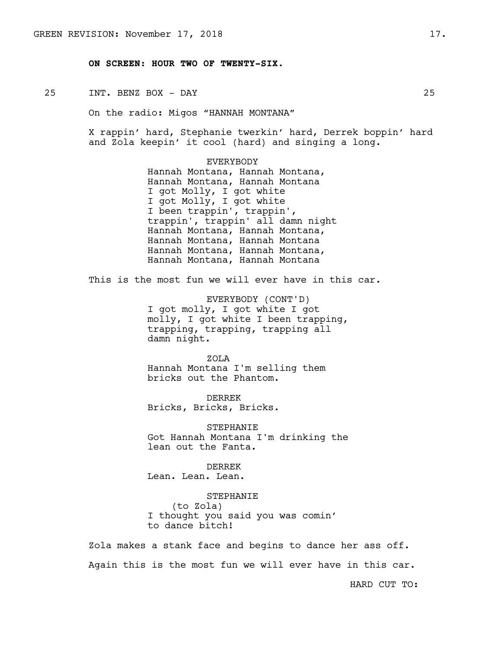**ON SCREEN: HOUR TWO OF TWENTY-SIX.**

25 INT. BENZ BOX - DAY 25

On the radio: Migos "HANNAH MONTANA"

X rappin' hard, Stephanie twerkin' hard, Derrek boppin' hard and Zola keepin' it cool (hard) and singing a long.

#### EVERYBODY

Hannah Montana, Hannah Montana, Hannah Montana, Hannah Montana I got Molly, I got white I got Molly, I got white I been trappin', trappin', trappin', trappin' all damn night Hannah Montana, Hannah Montana, Hannah Montana, Hannah Montana Hannah Montana, Hannah Montana, Hannah Montana, Hannah Montana

This is the most fun we will ever have in this car.

EVERYBODY (CONT'D) I got molly, I got white I got molly, I got white I been trapping, trapping, trapping, trapping all damn night.

## ZOLA

Hannah Montana I'm selling them bricks out the Phantom.

DERREK Bricks, Bricks, Bricks.

STEPHANIE Got Hannah Montana I'm drinking the lean out the Fanta.

DERREK Lean. Lean. Lean.

#### STEPHANIE

(to Zola) I thought you said you was comin' to dance bitch!

Zola makes a stank face and begins to dance her ass off. Again this is the most fun we will ever have in this car.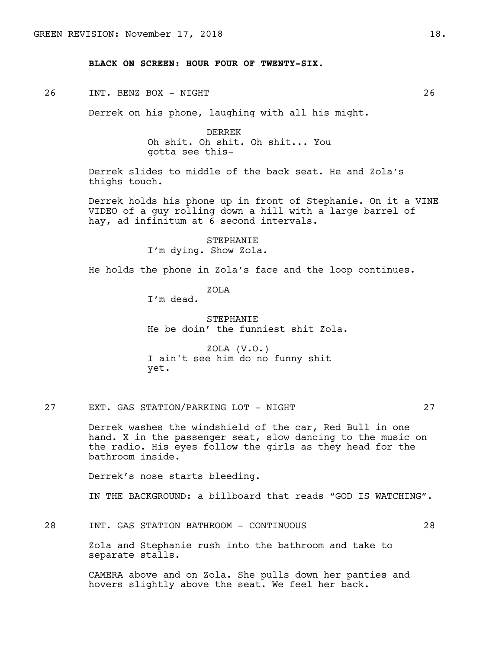## **BLACK ON SCREEN: HOUR FOUR OF TWENTY-SIX.**

26 INT. BENZ BOX - NIGHT 26

Derrek on his phone, laughing with all his might.

DERREK Oh shit. Oh shit. Oh shit... You gotta see this-

Derrek slides to middle of the back seat. He and Zola's thighs touch.

Derrek holds his phone up in front of Stephanie. On it a VINE VIDEO of a guy rolling down a hill with a large barrel of hay, ad infinitum at 6 second intervals.

> STEPHANIE I'm dying. Show Zola.

He holds the phone in Zola's face and the loop continues.

ZOLA

I'm dead.

STEPHANIE He be doin' the funniest shit Zola.

ZOLA (V.O.) I ain't see him do no funny shit yet.

27 EXT. GAS STATION/PARKING LOT - NIGHT 27

Derrek washes the windshield of the car, Red Bull in one hand. X in the passenger seat, slow dancing to the music on the radio. His eyes follow the girls as they head for the bathroom inside.

Derrek's nose starts bleeding.

IN THE BACKGROUND: a billboard that reads "GOD IS WATCHING".

28 INT. GAS STATION BATHROOM - CONTINUOUS 28

Zola and Stephanie rush into the bathroom and take to separate stalls.

CAMERA above and on Zola. She pulls down her panties and hovers slightly above the seat. We feel her back.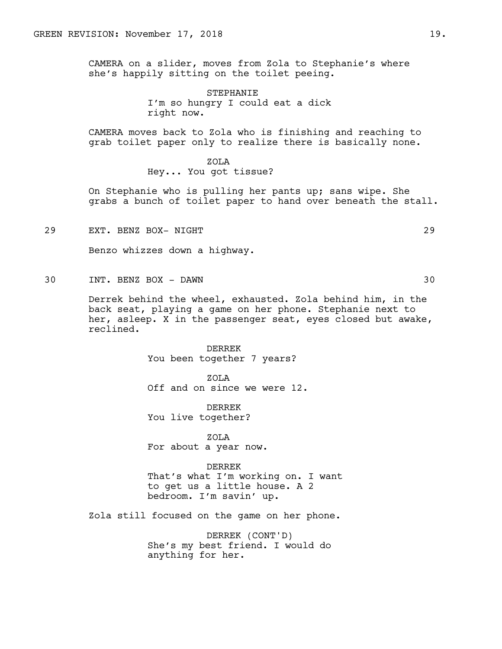CAMERA on a slider, moves from Zola to Stephanie's where she's happily sitting on the toilet peeing.

> STEPHANIE I'm so hungry I could eat a dick right now.

CAMERA moves back to Zola who is finishing and reaching to grab toilet paper only to realize there is basically none.

> ZOLA Hey... You got tissue?

On Stephanie who is pulling her pants up; sans wipe. She grabs a bunch of toilet paper to hand over beneath the stall.

29 EXT. BENZ BOX- NIGHT 29

Benzo whizzes down a highway.

30 INT. BENZ BOX - DAWN 30

Derrek behind the wheel, exhausted. Zola behind him, in the back seat, playing a game on her phone. Stephanie next to her, asleep. X in the passenger seat, eyes closed but awake, reclined.

> DERREK You been together 7 years?

ZOLA Off and on since we were 12.

DERREK You live together?

ZOLA For about a year now.

DERREK That's what I'm working on. I want to get us a little house. A 2 bedroom. I'm savin' up.

Zola still focused on the game on her phone.

DERREK (CONT'D) She's my best friend. I would do anything for her.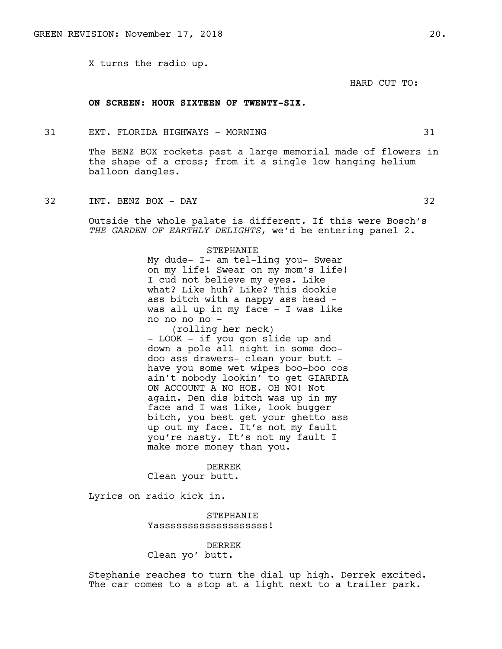X turns the radio up.

HARD CUT TO:

#### **ON SCREEN: HOUR SIXTEEN OF TWENTY-SIX.**

31 EXT. FLORIDA HIGHWAYS - MORNING 31

The BENZ BOX rockets past a large memorial made of flowers in the shape of a cross; from it a single low hanging helium balloon dangles.

32 INT. BENZ BOX - DAY 32

Outside the whole palate is different. If this were Bosch's *THE GARDEN OF EARTHLY DELIGHTS*, we'd be entering panel 2.

#### STEPHANIE

My dude- I- am tel-ling you- Swear on my life! Swear on my mom's life! I cud not believe my eyes. Like what? Like huh? Like? This dookie ass bitch with a nappy ass head was all up in my face - I was like no no no no -

(rolling her neck) - LOOK - if you gon slide up and down a pole all night in some doodoo ass drawers- clean your butt have you some wet wipes boo-boo cos ain't nobody lookin' to get GIARDIA ON ACCOUNT A NO HOE. OH NO! Not again. Den dis bitch was up in my face and I was like, look bugger bitch, you best get your ghetto ass up out my face. It's not my fault you're nasty. It's not my fault I make more money than you.

DERREK Clean your butt.

Lyrics on radio kick in.

**STEPHANIE** Yasssssssssssssssssss!

DERREK Clean yo' butt.

Stephanie reaches to turn the dial up high. Derrek excited. The car comes to a stop at a light next to a trailer park.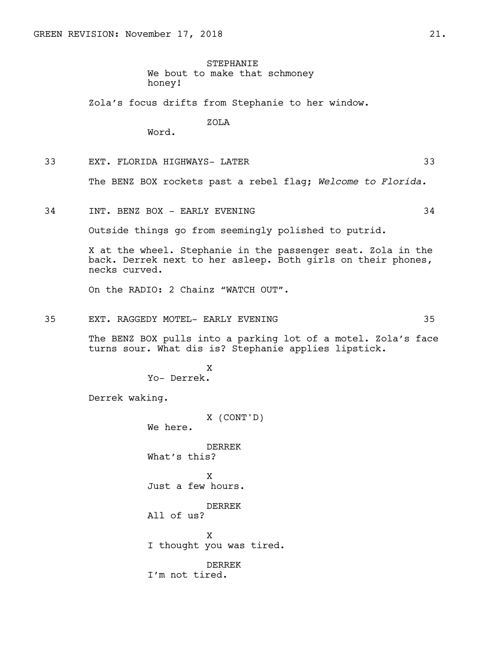STEPHANIE We bout to make that schmoney honey!

Zola's focus drifts from Stephanie to her window.

ZOLA

Word.

33 EXT. FLORIDA HIGHWAYS- LATER 33

The BENZ BOX rockets past a rebel flag; *Welcome to Florida.*

34 INT. BENZ BOX - EARLY EVENING 34

Outside things go from seemingly polished to putrid.

X at the wheel. Stephanie in the passenger seat. Zola in the back. Derrek next to her asleep. Both girls on their phones, necks curved.

On the RADIO: 2 Chainz "WATCH OUT".

X

35 EXT. RAGGEDY MOTEL- EARLY EVENING 35

The BENZ BOX pulls into a parking lot of a motel. Zola's face turns sour. What dis is? Stephanie applies lipstick.

Yo- Derrek. Derrek waking. X (CONT'D) We here. DERREK What's this? X Just a few hours. DERREK All of us? X I thought you was tired.

> DERREK I'm not tired.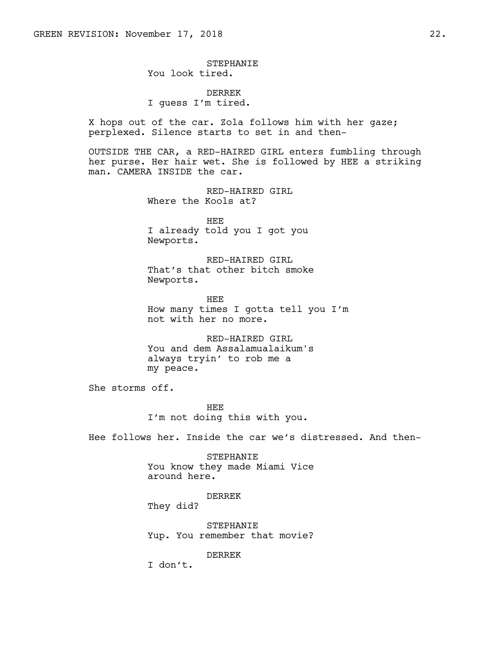STEPHANIE You look tired.

DERREK I guess I'm tired.

X hops out of the car. Zola follows him with her gaze; perplexed. Silence starts to set in and then-

OUTSIDE THE CAR, a RED-HAIRED GIRL enters fumbling through her purse. Her hair wet. She is followed by HEE a striking man. CAMERA INSIDE the car.

> RED-HAIRED GIRL Where the Kools at?

HEE I already told you I got you Newports.

RED-HAIRED GIRL That's that other bitch smoke Newports.

HEE How many times I gotta tell you I'm not with her no more.

RED-HAIRED GIRL You and dem Assalamualaikum's always tryin' to rob me a my peace.

She storms off.

HEE I'm not doing this with you.

Hee follows her. Inside the car we's distressed. And then-

STEPHANIE You know they made Miami Vice around here.

DERREK

They did?

STEPHANIE Yup. You remember that movie?

DERREK

I don't.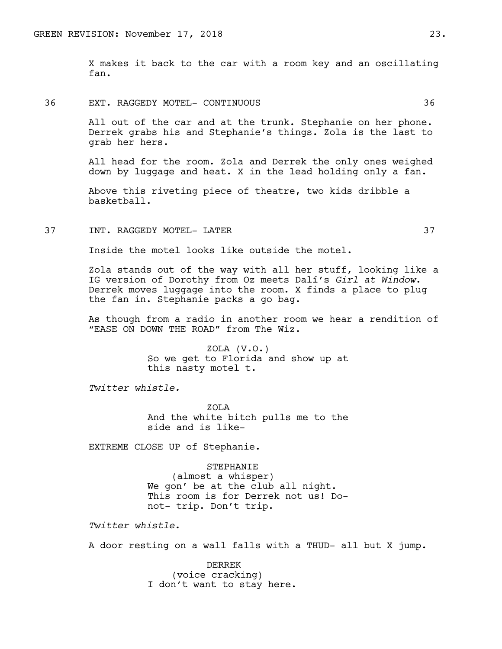X makes it back to the car with a room key and an oscillating fan.

### 36 EXT. RAGGEDY MOTEL- CONTINUOUS 36

All out of the car and at the trunk. Stephanie on her phone. Derrek grabs his and Stephanie's things. Zola is the last to grab her hers.

All head for the room. Zola and Derrek the only ones weighed down by luggage and heat. X in the lead holding only a fan.

Above this riveting piece of theatre, two kids dribble a basketball.

## 37 INT. RAGGEDY MOTEL- LATER 37

Inside the motel looks like outside the motel.

Zola stands out of the way with all her stuff, looking like a IG version of Dorothy from Oz meets Dalí's *Girl at Window*. Derrek moves luggage into the room. X finds a place to plug the fan in. Stephanie packs a go bag.

As though from a radio in another room we hear a rendition of "EASE ON DOWN THE ROAD" from The Wiz.

> ZOLA (V.O.) So we get to Florida and show up at this nasty motel t.

*Twitter whistle.*

ZOLA And the white bitch pulls me to the side and is like-

EXTREME CLOSE UP of Stephanie.

STEPHANIE (almost a whisper) We gon' be at the club all night. This room is for Derrek not us! Donot- trip. Don't trip.

*Twitter whistle.*

A door resting on a wall falls with a THUD- all but X jump.

DERREK (voice cracking) I don't want to stay here.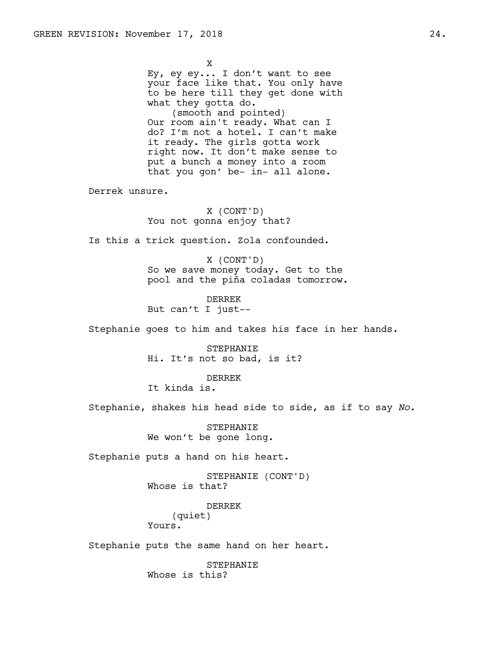X Ey, ey ey... I don't want to see your face like that. You only have to be here till they get done with what they gotta do. (smooth and pointed) Our room ain't ready. What can I do? I'm not a hotel. I can't make it ready. The girls gotta work right now. It don't make sense to put a bunch a money into a room that you gon' be- in- all alone.

Derrek unsure.

X (CONT'D) You not gonna enjoy that?

Is this a trick question. Zola confounded.

X (CONT'D) So we save money today. Get to the pool and the piña coladas tomorrow.

DERREK But can't I just--

Stephanie goes to him and takes his face in her hands.

STEPHANIE Hi. It's not so bad, is it?

DERREK It kinda is.

Stephanie, shakes his head side to side, as if to say *No.*

STEPHANIE We won't be gone long.

Stephanie puts a hand on his heart.

STEPHANIE (CONT'D) Whose is that?

> DERREK (quiet)

Yours.

Stephanie puts the same hand on her heart.

**STEPHANIE** Whose is this?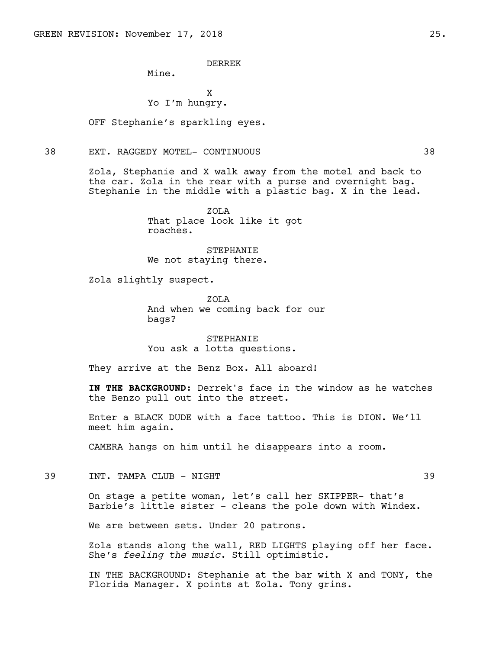#### DERREK

Mine.

X Yo I'm hungry.

OFF Stephanie's sparkling eyes.

38 EXT. RAGGEDY MOTEL- CONTINUOUS 38

Zola, Stephanie and X walk away from the motel and back to the car. Zola in the rear with a purse and overnight bag. Stephanie in the middle with a plastic bag. X in the lead.

> ZOLA That place look like it got roaches.

STEPHANIE We not staying there.

Zola slightly suspect.

ZOLA And when we coming back for our bags?

STEPHANIE You ask a lotta questions.

They arrive at the Benz Box. All aboard!

**IN THE BACKGROUND:** Derrek's face in the window as he watches the Benzo pull out into the street.

Enter a BLACK DUDE with a face tattoo. This is DION. We'll meet him again.

CAMERA hangs on him until he disappears into a room.

39 INT. TAMPA CLUB - NIGHT 39

On stage a petite woman, let's call her SKIPPER- that's Barbie's little sister - cleans the pole down with Windex.

We are between sets. Under 20 patrons.

Zola stands along the wall, RED LIGHTS playing off her face. She's *feeling the music*. Still optimistic.

IN THE BACKGROUND: Stephanie at the bar with X and TONY, the Florida Manager. X points at Zola. Tony grins.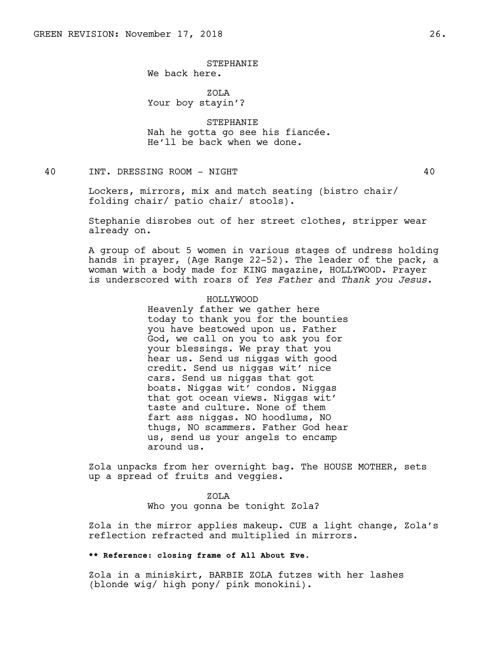## STEPHANIE

We back here.

ZOLA Your boy stayin'?

STEPHANIE Nah he gotta go see his fiancée. He'll be back when we done.

## 40 INT. DRESSING ROOM - NIGHT 40

Lockers, mirrors, mix and match seating (bistro chair/ folding chair/ patio chair/ stools).

Stephanie disrobes out of her street clothes, stripper wear already on.

A group of about 5 women in various stages of undress holding hands in prayer, (Age Range 22-52). The leader of the pack, a woman with a body made for KING magazine, HOLLYWOOD. Prayer is underscored with roars of *Yes Father* and *Thank you Jesus*.

## HOLLYWOOD

Heavenly father we gather here today to thank you for the bounties you have bestowed upon us*.* Father God, we call on you to ask you for your blessings. We pray that you hear us. Send us niggas with good credit. Send us niggas wit' nice cars. Send us niggas that got boats. Niggas wit' condos. Niggas that got ocean views. Niggas wit' taste and culture. None of them fart ass niggas. NO hoodlums, NO thugs, NO scammers. Father God hear us, send us your angels to encamp around us.

Zola unpacks from her overnight bag. The HOUSE MOTHER, sets up a spread of fruits and veggies.

#### ZOLA

Who you gonna be tonight Zola?

Zola in the mirror applies makeup. CUE a light change, Zola's reflection refracted and multiplied in mirrors.

#### **\*\* Reference: closing frame of All About Eve.**

Zola in a miniskirt, BARBIE ZOLA futzes with her lashes (blonde wig/ high pony/ pink monokini).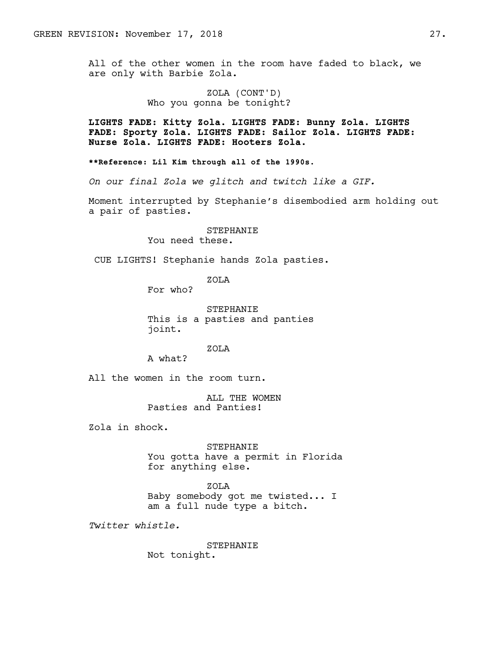All of the other women in the room have faded to black, we are only with Barbie Zola.

> ZOLA (CONT'D) Who you gonna be tonight?

**LIGHTS FADE: Kitty Zola. LIGHTS FADE: Bunny Zola. LIGHTS FADE: Sporty Zola. LIGHTS FADE: Sailor Zola. LIGHTS FADE: Nurse Zola. LIGHTS FADE: Hooters Zola.**

**\*\*Reference: Lil Kim through all of the 1990s.**

*On our final Zola we glitch and twitch like a GIF.*

Moment interrupted by Stephanie's disembodied arm holding out a pair of pasties.

STEPHANIE

You need these.

CUE LIGHTS! Stephanie hands Zola pasties.

ZOLA

For who?

STEPHANIE This is a pasties and panties joint.

ZOLA

A what?

All the women in the room turn.

ALL THE WOMEN Pasties and Panties!

Zola in shock.

STEPHANIE You gotta have a permit in Florida for anything else.

ZOLA Baby somebody got me twisted... I am a full nude type a bitch.

*Twitter whistle.*

STEPHANIE Not tonight.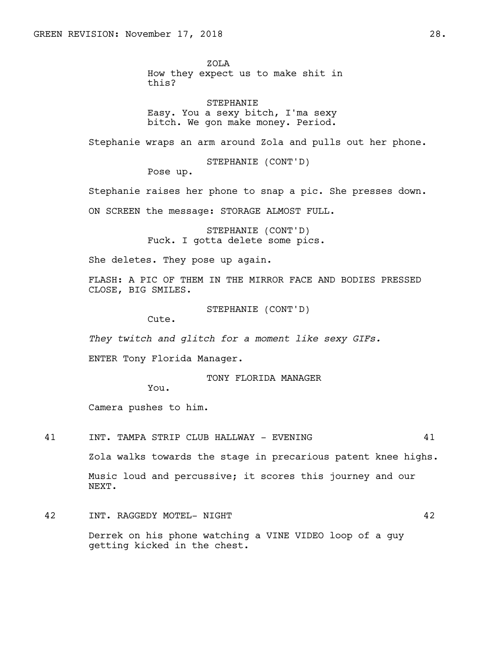ZOLA How they expect us to make shit in this?

STEPHANIE Easy. You a sexy bitch, I'ma sexy bitch. We gon make money. Period.

Stephanie wraps an arm around Zola and pulls out her phone.

STEPHANIE (CONT'D)

Pose up.

Stephanie raises her phone to snap a pic. She presses down.

ON SCREEN the message: STORAGE ALMOST FULL.

STEPHANIE (CONT'D) Fuck. I gotta delete some pics.

She deletes. They pose up again.

FLASH: A PIC OF THEM IN THE MIRROR FACE AND BODIES PRESSED CLOSE, BIG SMILES.

STEPHANIE (CONT'D)

Cute.

*They twitch and glitch for a moment like sexy GIFs.*

ENTER Tony Florida Manager.

TONY FLORIDA MANAGER

You.

Camera pushes to him.

41 INT. TAMPA STRIP CLUB HALLWAY - EVENING 41

Zola walks towards the stage in precarious patent knee highs. Music loud and percussive; it scores this journey and our NEXT.

42 INT. RAGGEDY MOTEL- NIGHT 42

Derrek on his phone watching a VINE VIDEO loop of a guy getting kicked in the chest.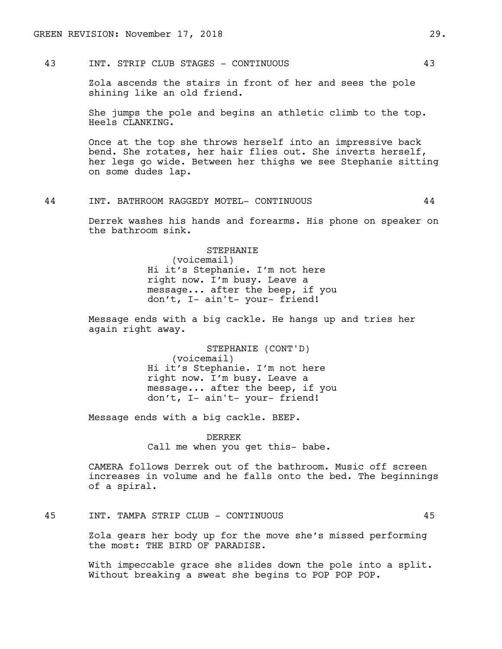## 43 INT. STRIP CLUB STAGES - CONTINUOUS 43

Zola ascends the stairs in front of her and sees the pole shining like an old friend.

She jumps the pole and begins an athletic climb to the top. Heels CLANKING.

Once at the top she throws herself into an impressive back bend. She rotates, her hair flies out. She inverts herself, her legs go wide. Between her thighs we see Stephanie sitting on some dudes lap.

44 INT. BATHROOM RAGGEDY MOTEL- CONTINUOUS 44

Derrek washes his hands and forearms. His phone on speaker on the bathroom sink.

> STEPHANIE (voicemail) Hi it's Stephanie. I'm not here right now. I'm busy. Leave a message... after the beep, if you don't, I- ain't- your- friend!

Message ends with a big cackle. He hangs up and tries her again right away.

> STEPHANIE (CONT'D) (voicemail) Hi it's Stephanie. I'm not here right now. I'm busy. Leave a message... after the beep, if you don't, I- ain't- your- friend!

Message ends with a big cackle. BEEP.

DERREK Call me when you get this- babe.

CAMERA follows Derrek out of the bathroom. Music off screen increases in volume and he falls onto the bed. The beginnings of a spiral.

## 45 INT. TAMPA STRIP CLUB - CONTINUOUS 45

Zola gears her body up for the move she's missed performing the most: THE BIRD OF PARADISE.

With impeccable grace she slides down the pole into a split. Without breaking a sweat she begins to POP POP POP.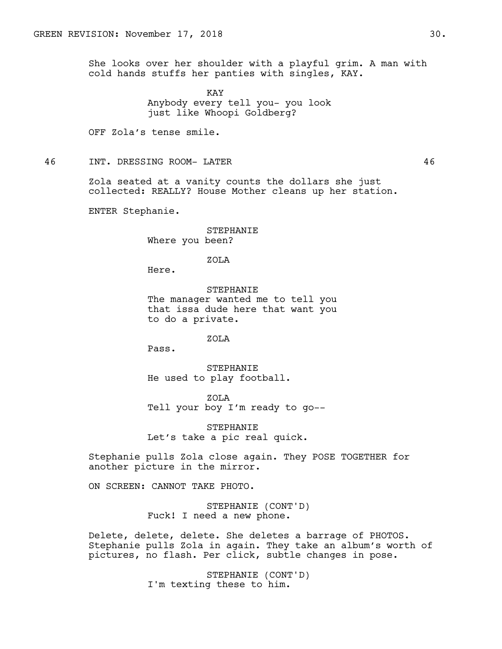She looks over her shoulder with a playful grim. A man with cold hands stuffs her panties with singles, KAY.

> KAY Anybody every tell you- you look just like Whoopi Goldberg?

OFF Zola's tense smile.

## 46 INT. DRESSING ROOM- LATER 46

Zola seated at a vanity counts the dollars she just collected: REALLY? House Mother cleans up her station.

ENTER Stephanie.

STEPHANIE Where you been?

## ZOLA

Here.

STEPHANIE The manager wanted me to tell you that issa dude here that want you to do a private.

ZOLA

Pass.

STEPHANIE He used to play football.

ZOLA Tell your boy I'm ready to go--

STEPHANIE Let's take a pic real quick.

Stephanie pulls Zola close again. They POSE TOGETHER for another picture in the mirror.

ON SCREEN: CANNOT TAKE PHOTO.

STEPHANIE (CONT'D) Fuck! I need a new phone.

Delete, delete, delete. She deletes a barrage of PHOTOS. Stephanie pulls Zola in again. They take an album's worth of pictures, no flash. Per click, subtle changes in pose.

> STEPHANIE (CONT'D) I'm texting these to him.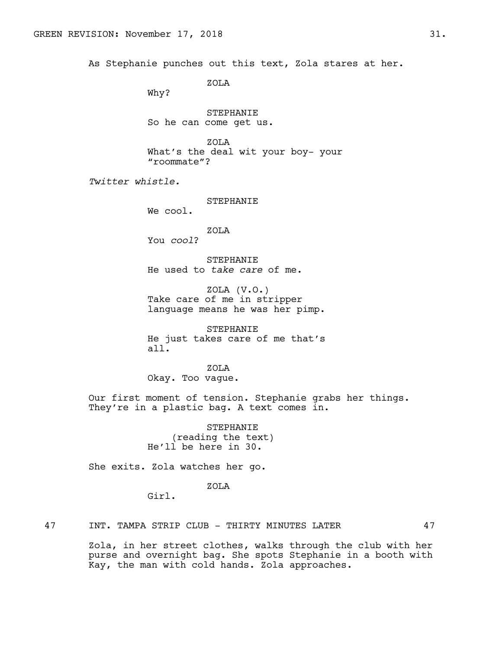As Stephanie punches out this text, Zola stares at her.

ZOLA

Why?

STEPHANIE So he can come get us.

ZOLA What's the deal wit your boy- your "roommate"?

*Twitter whistle.*

STEPHANIE

We cool.

ZOLA

You *cool*?

STEPHANIE He used to *take care* of me.

ZOLA (V.O.) Take care of me in stripper language means he was her pimp.

STEPHANIE He just takes care of me that's all.

ZOLA Okay. Too vague.

Our first moment of tension. Stephanie grabs her things. They're in a plastic bag. A text comes in.

> STEPHANIE (reading the text) He'll be here in 30.

She exits. Zola watches her go.

## ZOLA

Girl.

47 INT. TAMPA STRIP CLUB - THIRTY MINUTES LATER 47

Zola, in her street clothes, walks through the club with her purse and overnight bag. She spots Stephanie in a booth with Kay, the man with cold hands. Zola approaches.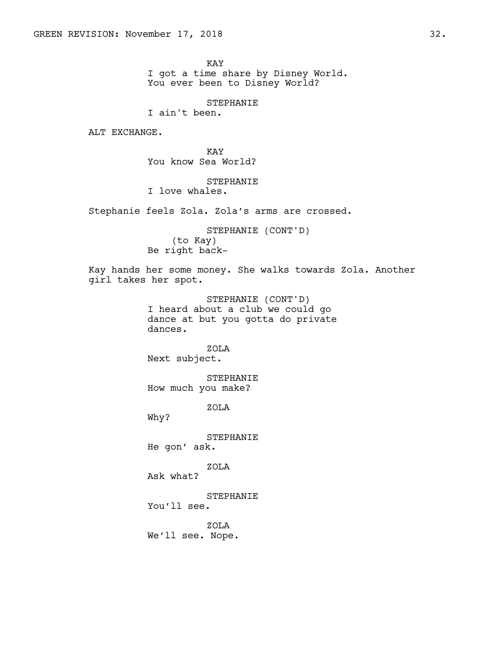KAY I got a time share by Disney World. You ever been to Disney World?

STEPHANIE

I ain't been.

ALT EXCHANGE.

KAY You know Sea World?

STEPHANIE

I love whales.

Stephanie feels Zola. Zola's arms are crossed.

STEPHANIE (CONT'D) (to Kay) Be right back-

Kay hands her some money. She walks towards Zola. Another girl takes her spot.

> STEPHANIE (CONT'D) I heard about a club we could go dance at but you gotta do private dances.

ZOLA Next subject.

STEPHANIE How much you make?

ZOLA

Why?

STEPHANIE He gon' ask.

ZOLA

Ask what?

STEPHANIE You'll see.

ZOLA We'll see. Nope.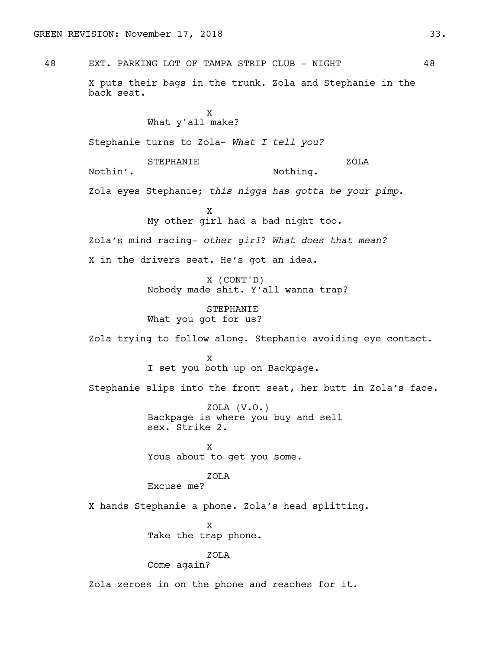48 EXT. PARKING LOT OF TAMPA STRIP CLUB - NIGHT 48 X puts their bags in the trunk. Zola and Stephanie in the back seat. X What y'all make? Stephanie turns to Zola- *What I tell you?* STEPHANIE Nothin'. ZOLA Nothing. Zola eyes Stephanie; *this nigga has gotta be your pimp*. X My other girl had a bad night too. Zola's mind racing- *other girl*? *What does that mean?* X in the drivers seat. He's got an idea. X (CONT'D) Nobody made shit. Y'all wanna trap? STEPHANIE What you got for us? Zola trying to follow along. Stephanie avoiding eye contact. X I set you both up on Backpage. Stephanie slips into the front seat, her butt in Zola's face. ZOLA (V.O.) Backpage is where you buy and sell sex. Strike 2. X Yous about to get you some. ZOLA Excuse me? X hands Stephanie a phone. Zola's head splitting. X Take the trap phone. ZOLA Come again? Zola zeroes in on the phone and reaches for it.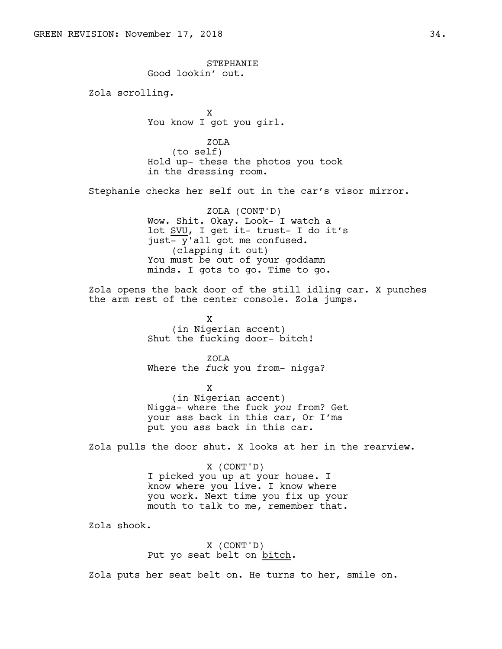STEPHANIE Good lookin' out.

Zola scrolling.

X You know I got you girl.

ZOLA (to self) Hold up- these the photos you took in the dressing room.

Stephanie checks her self out in the car's visor mirror.

ZOLA (CONT'D) Wow. Shit. Okay. Look- I watch a lot SVU, I get it- trust- I do it's just- y'all got me confused. (clapping it out) You must be out of your goddamn minds. I gots to go. Time to go.

Zola opens the back door of the still idling car. X punches the arm rest of the center console. Zola jumps.

> X (in Nigerian accent) Shut the fucking door- bitch!

ZOLA Where the *fuck* you from- nigga?

X (in Nigerian accent) Nigga- where the fuck *you* from? Get your ass back in this car, Or I'ma put you ass back in this car.

Zola pulls the door shut. X looks at her in the rearview.

X (CONT'D) I picked you up at your house. I know where you live. I know where you work. Next time you fix up your mouth to talk to me, remember that.

Zola shook.

X (CONT'D) Put yo seat belt on bitch.

Zola puts her seat belt on. He turns to her, smile on.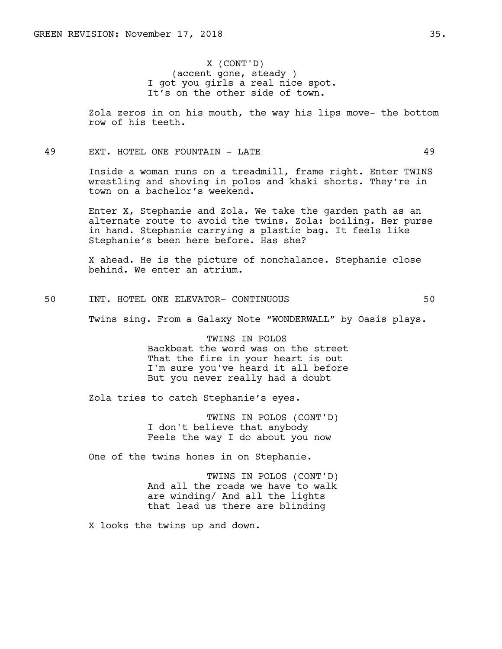X (CONT'D) (accent gone, steady ) I got you girls a real nice spot. It's on the other side of town.

Zola zeros in on his mouth, the way his lips move- the bottom row of his teeth.

49 EXT. HOTEL ONE FOUNTAIN - LATE 49

Inside a woman runs on a treadmill, frame right. Enter TWINS wrestling and shoving in polos and khaki shorts. They're in town on a bachelor's weekend.

Enter X, Stephanie and Zola. We take the garden path as an alternate route to avoid the twins. Zola: boiling. Her purse in hand. Stephanie carrying a plastic bag. It feels like Stephanie's been here before. Has she?

X ahead. He is the picture of nonchalance. Stephanie close behind. We enter an atrium.

50 INT. HOTEL ONE ELEVATOR- CONTINUOUS 50

Twins sing. From a Galaxy Note "WONDERWALL" by Oasis plays.

TWINS IN POLOS Backbeat the word was on the street That the fire in your heart is out I'm sure you've heard it all before But you never really had a doubt

Zola tries to catch Stephanie's eyes.

TWINS IN POLOS (CONT'D) I don't believe that anybody Feels the way I do about you now

One of the twins hones in on Stephanie.

TWINS IN POLOS (CONT'D) And all the roads we have to walk are winding/ And all the lights that lead us there are blinding

X looks the twins up and down.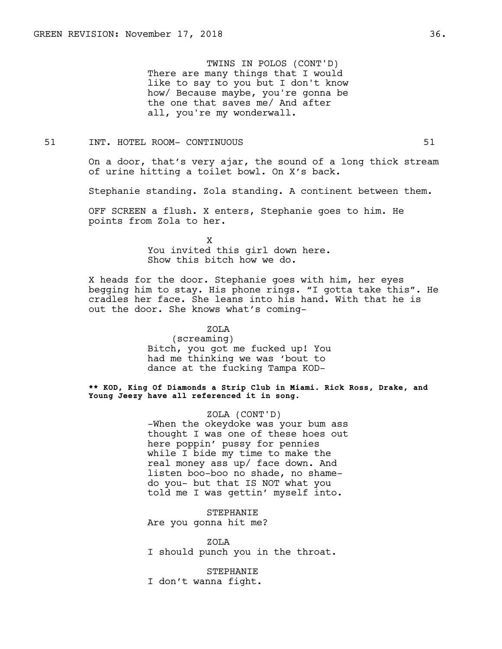TWINS IN POLOS (CONT'D) There are many things that I would like to say to you but I don't know how/ Because maybe, you're gonna be the one that saves me/ And after all, you're my wonderwall.

### 51 INT. HOTEL ROOM- CONTINUOUS 51

On a door, that's very ajar, the sound of a long thick stream of urine hitting a toilet bowl. On X's back.

Stephanie standing. Zola standing. A continent between them.

OFF SCREEN a flush. X enters, Stephanie goes to him. He points from Zola to her.

> X You invited this girl down here. Show this bitch how we do.

X heads for the door. Stephanie goes with him, her eyes begging him to stay. His phone rings. "I gotta take this". He cradles her face. She leans into his hand. With that he is out the door. She knows what's coming-

# ZOLA

(screaming) Bitch, you got me fucked up! You had me thinking we was 'bout to dance at the fucking Tampa KOD-

### **\*\* KOD, King Of Diamonds a Strip Club in Miami. Rick Ross, Drake, and Young Jeezy have all referenced it in song.**

ZOLA (CONT'D) -When the okeydoke was your bum ass thought I was one of these hoes out here poppin' pussy for pennies while I bide my time to make the real money ass up/ face down. And listen boo-boo no shade, no shamedo you- but that IS NOT what you told me I was gettin' myself into.

STEPHANIE Are you gonna hit me?

ZOLA I should punch you in the throat.

STEPHANIE

I don't wanna fight.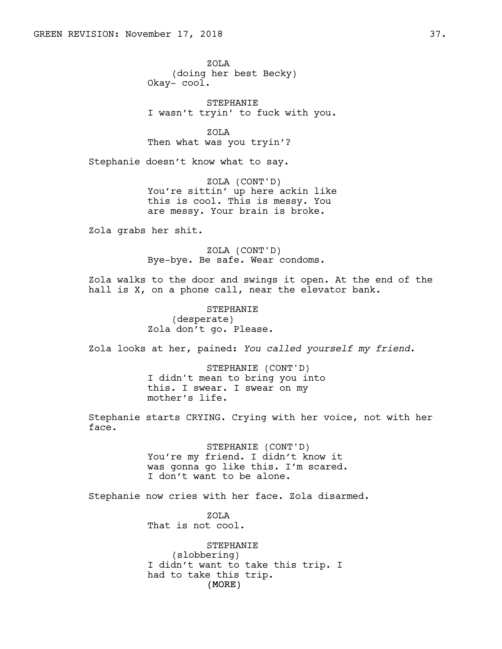ZOLA (doing her best Becky) Okay- cool.

STEPHANIE I wasn't tryin' to fuck with you.

ZOLA Then what was you tryin'?

Stephanie doesn't know what to say.

ZOLA (CONT'D) You're sittin' up here ackin like this is cool. This is messy. You are messy. Your brain is broke.

Zola grabs her shit.

ZOLA (CONT'D) Bye-bye. Be safe. Wear condoms.

Zola walks to the door and swings it open. At the end of the hall is X, on a phone call, near the elevator bank.

> STEPHANIE (desperate) Zola don't go. Please.

Zola looks at her, pained: *You called yourself my friend*.

STEPHANIE (CONT'D) I didn't mean to bring you into this. I swear. I swear on my mother's life.

Stephanie starts CRYING. Crying with her voice, not with her face.

> STEPHANIE (CONT'D) You're my friend. I didn't know it was gonna go like this. I'm scared. I don't want to be alone.

Stephanie now cries with her face. Zola disarmed.

ZOLA That is not cool.

(MORE) STEPHANIE (slobbering) I didn't want to take this trip. I had to take this trip.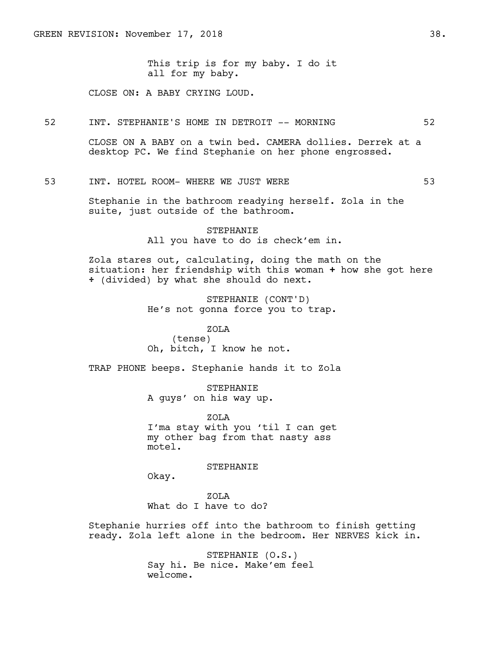This trip is for my baby. I do it all for my baby.

CLOSE ON: A BABY CRYING LOUD.

### 52 INT. STEPHANIE'S HOME IN DETROIT -- MORNING 52

CLOSE ON A BABY on a twin bed. CAMERA dollies. Derrek at a desktop PC. We find Stephanie on her phone engrossed.

# 53 INT. HOTEL ROOM- WHERE WE JUST WERE 53

Stephanie in the bathroom readying herself. Zola in the suite, just outside of the bathroom.

> STEPHANIE All you have to do is check'em in.

Zola stares out, calculating, doing the math on the situation: her friendship with this woman **+** how she got here **÷** (divided) by what she should do next.

> STEPHANIE (CONT'D) He's not gonna force you to trap.

ZOLA (tense) Oh, bitch, I know he not.

TRAP PHONE beeps. Stephanie hands it to Zola

STEPHANIE A guys' on his way up.

ZOLA I'ma stay with you 'til I can get my other bag from that nasty ass motel.

STEPHANIE

Okay.

ZOLA What do I have to do?

Stephanie hurries off into the bathroom to finish getting ready. Zola left alone in the bedroom. Her NERVES kick in.

> STEPHANIE (O.S.) Say hi. Be nice. Make'em feel welcome.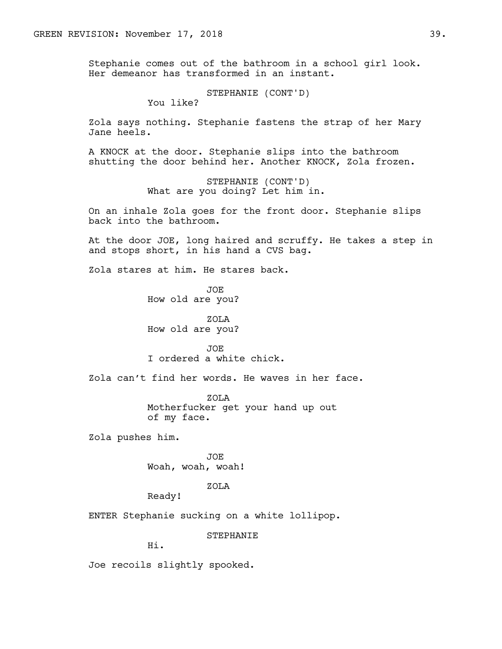Stephanie comes out of the bathroom in a school girl look. Her demeanor has transformed in an instant.

STEPHANIE (CONT'D)

You like?

Zola says nothing. Stephanie fastens the strap of her Mary Jane heels.

A KNOCK at the door. Stephanie slips into the bathroom shutting the door behind her. Another KNOCK, Zola frozen.

> STEPHANIE (CONT'D) What are you doing? Let him in.

On an inhale Zola goes for the front door. Stephanie slips back into the bathroom.

At the door JOE, long haired and scruffy. He takes a step in and stops short, in his hand a CVS bag.

Zola stares at him. He stares back.

JOE How old are you?

ZOLA How old are you?

JOE I ordered a white chick.

Zola can't find her words. He waves in her face.

ZOLA Motherfucker get your hand up out of my face.

Zola pushes him.

JOE Woah, woah, woah!

ZOLA

Ready!

ENTER Stephanie sucking on a white lollipop.

STEPHANIE

Hi.

Joe recoils slightly spooked.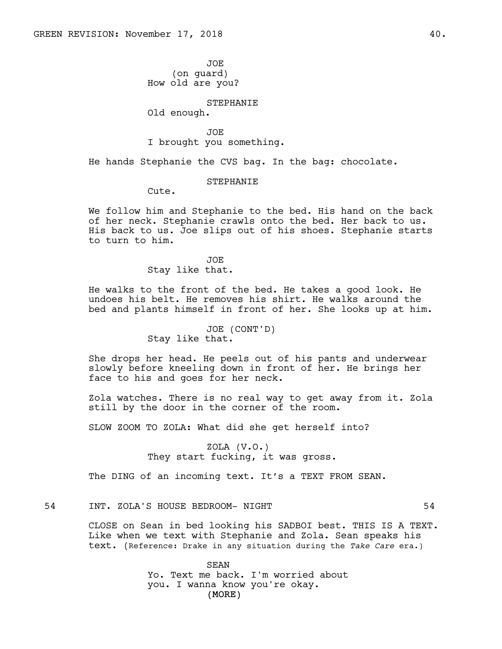JOE (on guard) How old are you?

#### STEPHANIE

Old enough.

JOE I brought you something.

He hands Stephanie the CVS bag. In the bag: chocolate.

### STEPHANIE

Cute.

We follow him and Stephanie to the bed. His hand on the back of her neck. Stephanie crawls onto the bed. Her back to us. His back to us. Joe slips out of his shoes. Stephanie starts to turn to him.

> JOE Stay like that.

He walks to the front of the bed. He takes a good look. He undoes his belt. He removes his shirt. He walks around the bed and plants himself in front of her. She looks up at him.

> JOE (CONT'D) Stay like that.

She drops her head. He peels out of his pants and underwear slowly before kneeling down in front of her. He brings her face to his and goes for her neck.

Zola watches. There is no real way to get away from it. Zola still by the door in the corner of the room.

SLOW ZOOM TO ZOLA: What did she get herself into?

# ZOLA (V.O.) They start fucking, it was gross.

The DING of an incoming text. It's a TEXT FROM SEAN.

# 54 INT. ZOLA'S HOUSE BEDROOM- NIGHT 54

CLOSE on Sean in bed looking his SADBOI best. THIS IS A TEXT. Like when we text with Stephanie and Zola. Sean speaks his text. (Reference: Drake in any situation during the *Take Care* era.)

> (MORE) SEAN Yo. Text me back. I'm worried about you. I wanna know you're okay.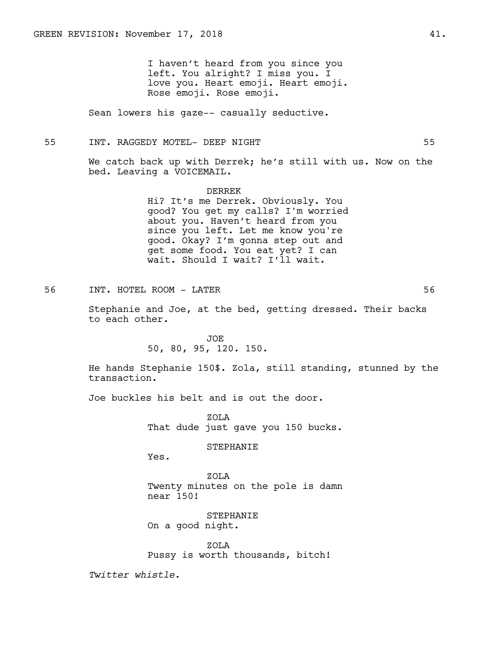I haven't heard from you since you left. You alright? I miss you. I love you. Heart emoji. Heart emoji. Rose emoji. Rose emoji.

Sean lowers his gaze-- casually seductive.

### 55 INT. RAGGEDY MOTEL- DEEP NIGHT 55

We catch back up with Derrek; he's still with us. Now on the bed. Leaving a VOICEMAIL.

> DERREK Hi? It's me Derrek. Obviously. You good? You get my calls? I'm worried about you. Haven't heard from you since you left. Let me know you're good. Okay? I'm gonna step out and get some food. You eat yet? I can wait. Should I wait? I'll wait.

56 INT. HOTEL ROOM - LATER 56

Stephanie and Joe, at the bed, getting dressed. Their backs to each other.

> JOE 50, 80, 95, 120. 150.

He hands Stephanie 150\$. Zola, still standing, stunned by the transaction.

Joe buckles his belt and is out the door.

ZOLA That dude just gave you 150 bucks.

STEPHANIE

Yes.

ZOLA Twenty minutes on the pole is damn near 150!

STEPHANIE On a good night.

ZOLA Pussy is worth thousands, bitch!

*Twitter whistle.*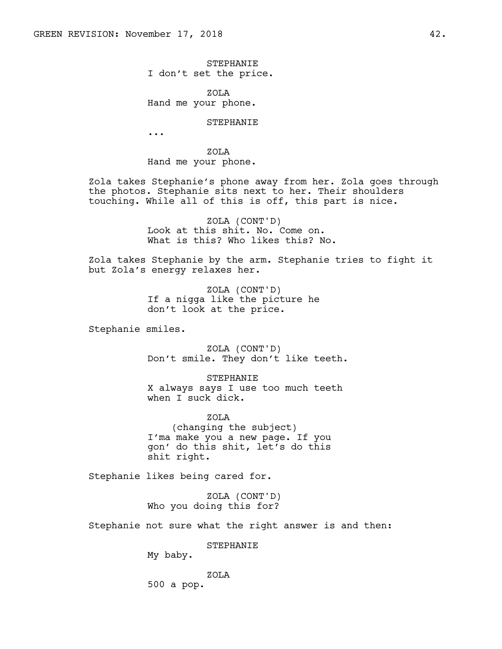STEPHANIE I don't set the price.

ZOLA Hand me your phone.

STEPHANIE

...

ZOLA Hand me your phone.

Zola takes Stephanie's phone away from her. Zola goes through the photos. Stephanie sits next to her. Their shoulders touching. While all of this is off, this part is nice.

> ZOLA (CONT'D) Look at this shit. No. Come on. What is this? Who likes this? No.

Zola takes Stephanie by the arm. Stephanie tries to fight it but Zola's energy relaxes her.

> ZOLA (CONT'D) If a nigga like the picture he don't look at the price.

Stephanie smiles.

ZOLA (CONT'D) Don't smile. They don't like teeth.

STEPHANIE X always says I use too much teeth when I suck dick.

ZOLA (changing the subject) I'ma make you a new page. If you gon' do this shit, let's do this shit right.

Stephanie likes being cared for.

ZOLA (CONT'D) Who you doing this for?

Stephanie not sure what the right answer is and then:

STEPHANIE

My baby.

ZOLA

500 a pop.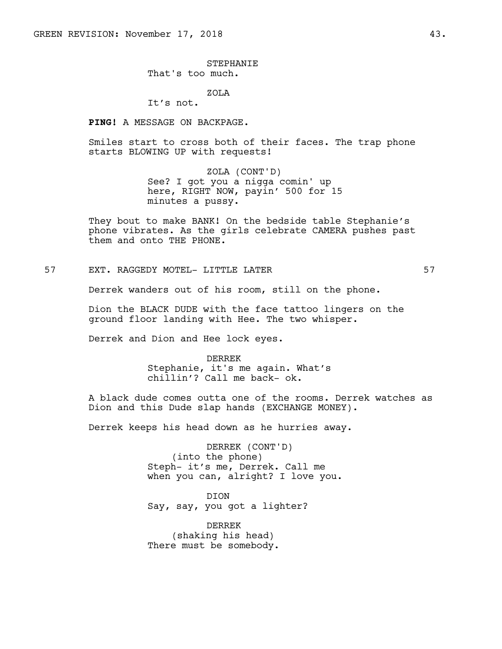STEPHANIE That's too much.

ZOLA

It's not.

**PING!** A MESSAGE ON BACKPAGE.

Smiles start to cross both of their faces. The trap phone starts BLOWING UP with requests!

> ZOLA (CONT'D) See? I got you a nigga comin' up here, RIGHT NOW, payin' 500 for 15 minutes a pussy.

They bout to make BANK! On the bedside table Stephanie's phone vibrates. As the girls celebrate CAMERA pushes past them and onto THE PHONE.

57 EXT. RAGGEDY MOTEL- LITTLE LATER 57

Derrek wanders out of his room, still on the phone.

Dion the BLACK DUDE with the face tattoo lingers on the ground floor landing with Hee. The two whisper.

Derrek and Dion and Hee lock eyes.

DERREK Stephanie, it's me again. What's chillin'? Call me back- ok.

A black dude comes outta one of the rooms. Derrek watches as Dion and this Dude slap hands (EXCHANGE MONEY).

Derrek keeps his head down as he hurries away.

DERREK (CONT'D) (into the phone) Steph- it's me, Derrek. Call me when you can, alright? I love you.

DION Say, say, you got a lighter?

DERREK (shaking his head) There must be somebody.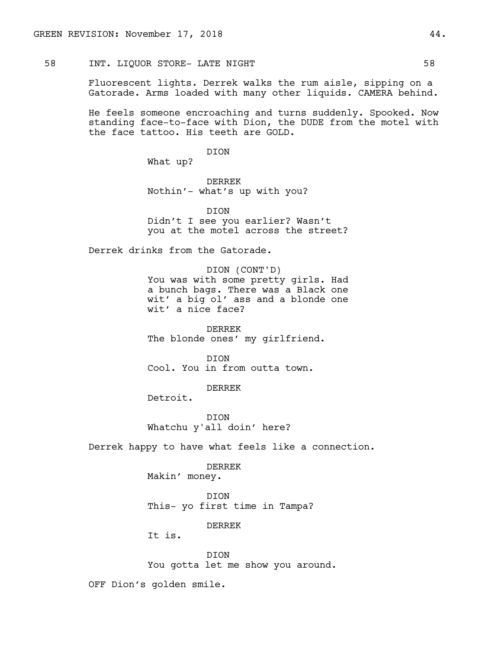# 58 INT. LIQUOR STORE- LATE NIGHT 58

Fluorescent lights. Derrek walks the rum aisle, sipping on a Gatorade. Arms loaded with many other liquids. CAMERA behind.

He feels someone encroaching and turns suddenly. Spooked. Now standing face-to-face with Dion, the DUDE from the motel with the face tattoo. His teeth are GOLD.

DION

What up?

DERREK Nothin'- what's up with you?

DION Didn't I see you earlier? Wasn't you at the motel across the street?

Derrek drinks from the Gatorade.

DION (CONT'D) You was with some pretty girls. Had a bunch bags. There was a Black one wit' a big ol' ass and a blonde one wit' a nice face?

DERREK The blonde ones' my girlfriend.

DION Cool. You in from outta town.

DERREK

Detroit.

DION Whatchu y'all doin' here?

Derrek happy to have what feels like a connection.

DERREK Makin' money.

DION This- yo first time in Tampa?

DERREK

It is.

DION You gotta let me show you around.

OFF Dion's golden smile.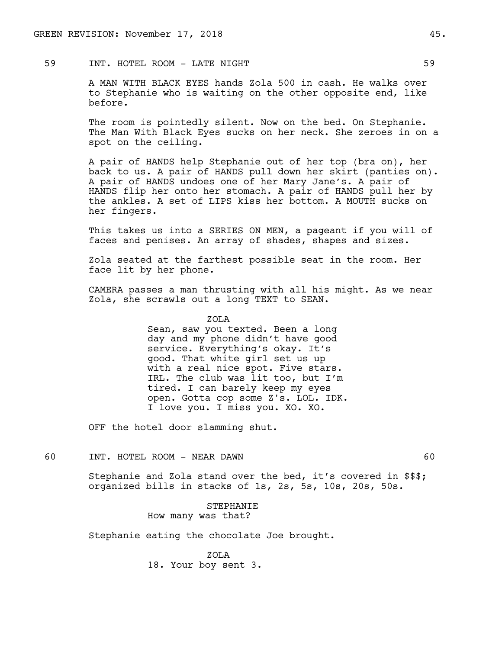# 59 INT. HOTEL ROOM - LATE NIGHT 59

A MAN WITH BLACK EYES hands Zola 500 in cash. He walks over to Stephanie who is waiting on the other opposite end, like before.

The room is pointedly silent. Now on the bed. On Stephanie. The Man With Black Eyes sucks on her neck. She zeroes in on a spot on the ceiling.

A pair of HANDS help Stephanie out of her top (bra on), her back to us. A pair of HANDS pull down her skirt (panties on). A pair of HANDS undoes one of her Mary Jane's. A pair of HANDS flip her onto her stomach. A pair of HANDS pull her by the ankles. A set of LIPS kiss her bottom. A MOUTH sucks on her fingers.

This takes us into a SERIES ON MEN, a pageant if you will of faces and penises. An array of shades, shapes and sizes.

Zola seated at the farthest possible seat in the room. Her face lit by her phone.

CAMERA passes a man thrusting with all his might. As we near Zola, she scrawls out a long TEXT to SEAN.

### ZOLA

Sean, saw you texted. Been a long day and my phone didn't have good service. Everything's okay. It's good. That white girl set us up with a real nice spot. Five stars. IRL. The club was lit too, but I'm tired. I can barely keep my eyes open. Gotta cop some Z's. LOL. IDK. I love you. I miss you. XO. XO.

OFF the hotel door slamming shut.

# 60 INT. HOTEL ROOM - NEAR DAWN 60

Stephanie and Zola stand over the bed, it's covered in \$\$\$; organized bills in stacks of 1s, 2s, 5s, 10s, 20s, 50s.

> STEPHANIE How many was that?

Stephanie eating the chocolate Joe brought.

ZOLA 18. Your boy sent 3.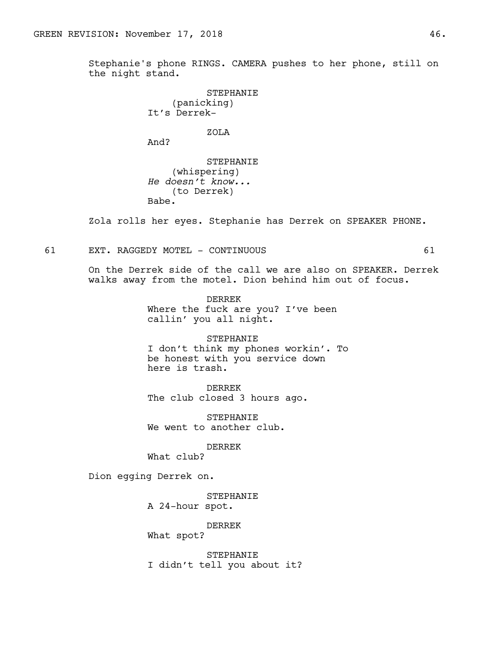Stephanie's phone RINGS. CAMERA pushes to her phone, still on the night stand.

> STEPHANIE (panicking) It's Derrek-

> > ZOLA

And?

STEPHANIE (whispering) *He doesn't know...* (to Derrek) Babe.

Zola rolls her eyes. Stephanie has Derrek on SPEAKER PHONE.

61 EXT. RAGGEDY MOTEL - CONTINUOUS 61

On the Derrek side of the call we are also on SPEAKER. Derrek walks away from the motel. Dion behind him out of focus.

> DERREK Where the fuck are you? I've been callin' you all night.

STEPHANIE I don't think my phones workin'. To be honest with you service down here is trash.

DERREK The club closed 3 hours ago.

STEPHANIE We went to another club.

DERREK

What club?

Dion egging Derrek on.

STEPHANIE

A 24-hour spot.

DERREK

What spot?

STEPHANIE I didn't tell you about it?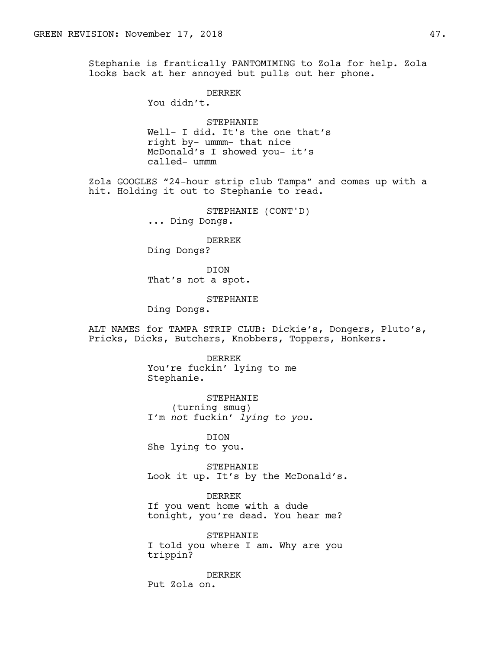Stephanie is frantically PANTOMIMING to Zola for help. Zola looks back at her annoyed but pulls out her phone.

DERREK

You didn't.

STEPHANIE Well- I did. It's the one that's right by- ummm- that nice McDonald's I showed you- it's called- ummm

Zola GOOGLES "24-hour strip club Tampa" and comes up with a hit. Holding it out to Stephanie to read.

STEPHANIE (CONT'D)

... Ding Dongs.

DERREK

Ding Dongs?

DION That's not a spot.

**STEPHANIE** 

Ding Dongs.

ALT NAMES for TAMPA STRIP CLUB: Dickie's, Dongers, Pluto's, Pricks, Dicks, Butchers, Knobbers, Toppers, Honkers.

> DERREK You're fuckin' lying to me Stephanie.

STEPHANIE (turning smug) I'm *not* fuckin' *lying to you*.

DION She lying to you.

STEPHANIE Look it up. It's by the McDonald's.

DERREK If you went home with a dude tonight, you're dead. You hear me?

STEPHANIE I told you where I am. Why are you trippin?

DERREK Put Zola on.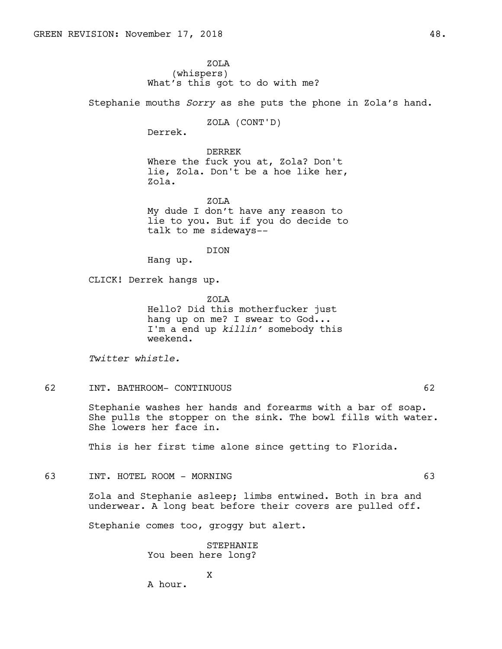ZOLA (whispers) What's this got to do with me?

Stephanie mouths *Sorry* as she puts the phone in Zola's hand.

ZOLA (CONT'D)

Derrek.

DERREK Where the fuck you at, Zola? Don't lie, Zola. Don't be a hoe like her, Zola.

ZOLA My dude I don't have any reason to lie to you. But if you do decide to talk to me sideways--

DION

Hang up.

CLICK! Derrek hangs up.

ZOLA Hello? Did this motherfucker just hang up on me? I swear to God... I'm a end up *killin'* somebody this weekend.

*Twitter whistle.*

62 INT. BATHROOM- CONTINUOUS 62

Stephanie washes her hands and forearms with a bar of soap. She pulls the stopper on the sink. The bowl fills with water. She lowers her face in.

This is her first time alone since getting to Florida.

63 INT. HOTEL ROOM - MORNING 63

Zola and Stephanie asleep; limbs entwined. Both in bra and underwear. A long beat before their covers are pulled off.

Stephanie comes too, groggy but alert.

STEPHANIE You been here long?

X

A hour.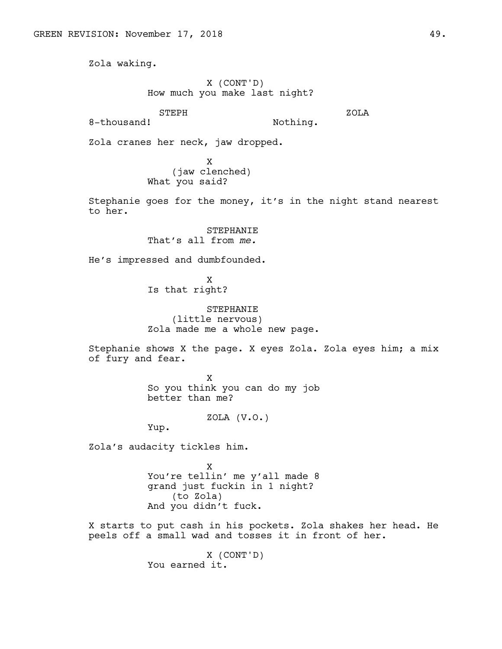Zola waking. X (CONT'D) How much you make last night? STEPH 8-thousand! ZOLA Nothing. Zola cranes her neck, jaw dropped. X (jaw clenched) What you said? Stephanie goes for the money, it's in the night stand nearest to her. STEPHANIE That's all from *me.* He's impressed and dumbfounded. X Is that right? STEPHANIE (little nervous) Zola made me a whole new page. Stephanie shows X the page. X eyes Zola. Zola eyes him; a mix of fury and fear. X So you think you can do my job better than me? ZOLA (V.O.) Yup. Zola's audacity tickles him. X You're tellin' me y'all made 8 grand just fuckin in 1 night? (to Zola) And you didn't fuck. X starts to put cash in his pockets. Zola shakes her head. He peels off a small wad and tosses it in front of her. X (CONT'D) You earned it.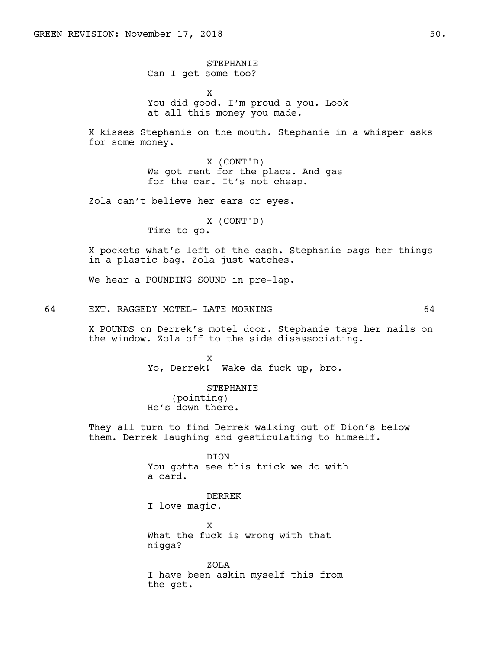STEPHANIE Can I get some too?

X You did good. I'm proud a you. Look at all this money you made.

X kisses Stephanie on the mouth. Stephanie in a whisper asks for some money.

> X (CONT'D) We got rent for the place. And gas for the car. It's not cheap.

Zola can't believe her ears or eyes.

X (CONT'D)

Time to go.

X pockets what's left of the cash. Stephanie bags her things in a plastic bag. Zola just watches.

We hear a POUNDING SOUND in pre-lap.

64 EXT. RAGGEDY MOTEL- LATE MORNING 64

X POUNDS on Derrek's motel door. Stephanie taps her nails on the window. Zola off to the side disassociating.

> X Yo, Derrek! Wake da fuck up, bro.

STEPHANIE (pointing) He's down there.

They all turn to find Derrek walking out of Dion's below them. Derrek laughing and gesticulating to himself.

> DION You gotta see this trick we do with a card.

DERREK I love magic.

X What the fuck is wrong with that nigga?

ZOLA I have been askin myself this from the get.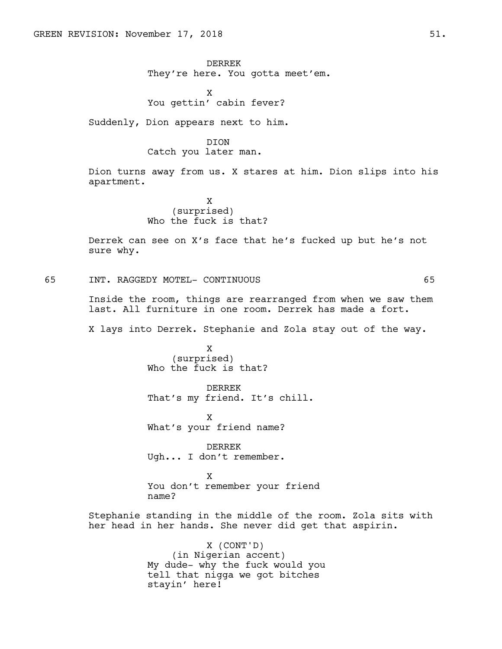DERREK They're here. You gotta meet'em.

X You gettin' cabin fever?

Suddenly, Dion appears next to him.

DION

Catch you later man.

Dion turns away from us. X stares at him. Dion slips into his apartment.

> X (surprised) Who the fuck is that?

Derrek can see on X's face that he's fucked up but he's not sure why.

65 INT. RAGGEDY MOTEL- CONTINUOUS 65

Inside the room, things are rearranged from when we saw them last. All furniture in one room. Derrek has made a fort.

X lays into Derrek. Stephanie and Zola stay out of the way.

X (surprised) Who the fuck is that?

DERREK That's my friend. It's chill.

X What's your friend name?

DERREK Ugh... I don't remember.

X You don't remember your friend name?

Stephanie standing in the middle of the room. Zola sits with her head in her hands. She never did get that aspirin.

> X (CONT'D) (in Nigerian accent) My dude- why the fuck would you tell that nigga we got bitches stayin' here!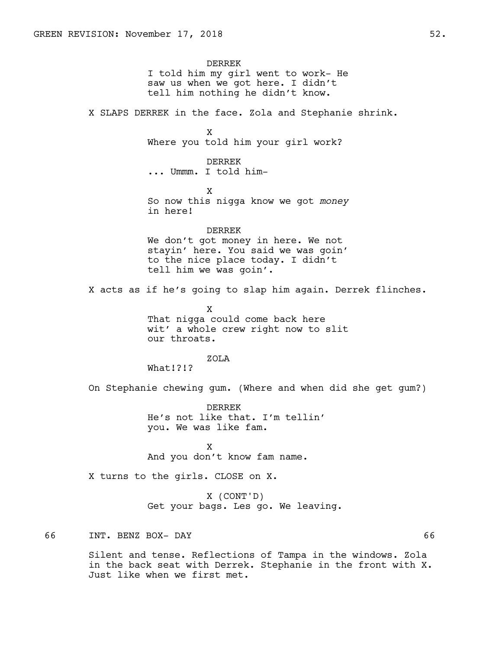DERREK I told him my girl went to work- He saw us when we got here. I didn't tell him nothing he didn't know.

X SLAPS DERREK in the face. Zola and Stephanie shrink.

X

Where you told him your girl work?

DERREK

... Ummm. I told him-

X So now this nigga know we got *money* in here!

DERREK

We don't got money in here. We not stayin' here. You said we was goin' to the nice place today. I didn't tell him we was goin'.

X acts as if he's going to slap him again. Derrek flinches.

X That nigga could come back here wit' a whole crew right now to slit our throats.

ZOLA

What!?!?

On Stephanie chewing gum. (Where and when did she get gum?)

DERREK He's not like that. I'm tellin' you. We was like fam.

X And you don't know fam name.

X turns to the girls. CLOSE on X.

X (CONT'D) Get your bags. Les go. We leaving.

66 INT. BENZ BOX- DAY 66

Silent and tense. Reflections of Tampa in the windows. Zola in the back seat with Derrek. Stephanie in the front with X. Just like when we first met.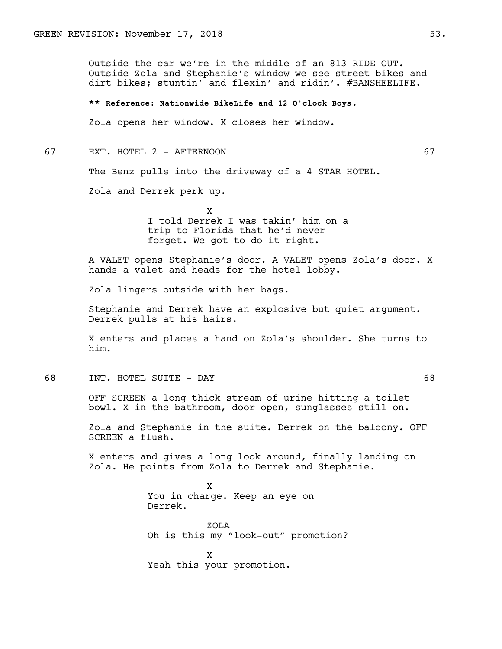Outside the car we're in the middle of an 813 RIDE OUT. Outside Zola and Stephanie's window we see street bikes and dirt bikes; stuntin' and flexin' and ridin'. #BANSHEELIFE.

### **\*\* Reference: Nationwide BikeLife and 12 O'clock Boys.**

Zola opens her window. X closes her window.

67 EXT. HOTEL 2 - AFTERNOON 67

The Benz pulls into the driveway of a 4 STAR HOTEL.

Zola and Derrek perk up.

X I told Derrek I was takin' him on a trip to Florida that he'd never forget. We got to do it right.

A VALET opens Stephanie's door. A VALET opens Zola's door. X hands a valet and heads for the hotel lobby.

Zola lingers outside with her bags.

Stephanie and Derrek have an explosive but quiet argument. Derrek pulls at his hairs.

X enters and places a hand on Zola's shoulder. She turns to him.

68 INT. HOTEL SUITE - DAY 68

OFF SCREEN a long thick stream of urine hitting a toilet bowl. X in the bathroom, door open, sunglasses still on.

Zola and Stephanie in the suite. Derrek on the balcony. OFF SCREEN a flush.

X enters and gives a long look around, finally landing on Zola. He points from Zola to Derrek and Stephanie.

> X You in charge. Keep an eye on Derrek.

ZOLA Oh is this my "look-out" promotion?

X Yeah this your promotion.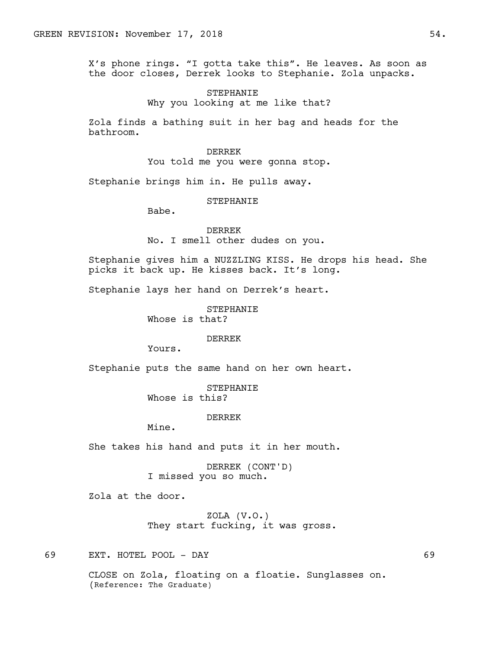X's phone rings. "I gotta take this". He leaves. As soon as the door closes, Derrek looks to Stephanie. Zola unpacks.

# STEPHANIE Why you looking at me like that?

Zola finds a bathing suit in her bag and heads for the bathroom.

#### DERREK

You told me you were gonna stop.

Stephanie brings him in. He pulls away.

### STEPHANIE

Babe.

# DERREK No. I smell other dudes on you.

Stephanie gives him a NUZZLING KISS. He drops his head. She picks it back up. He kisses back. It's long.

Stephanie lays her hand on Derrek's heart.

STEPHANIE

Whose is that?

DERREK

Yours.

Stephanie puts the same hand on her own heart.

STEPHANIE Whose is this?

DERREK

Mine.

She takes his hand and puts it in her mouth.

DERREK (CONT'D) I missed you so much.

Zola at the door.

ZOLA (V.O.) They start fucking, it was gross.

69 EXT. HOTEL POOL - DAY 69

CLOSE on Zola, floating on a floatie. Sunglasses on. (Reference: The Graduate)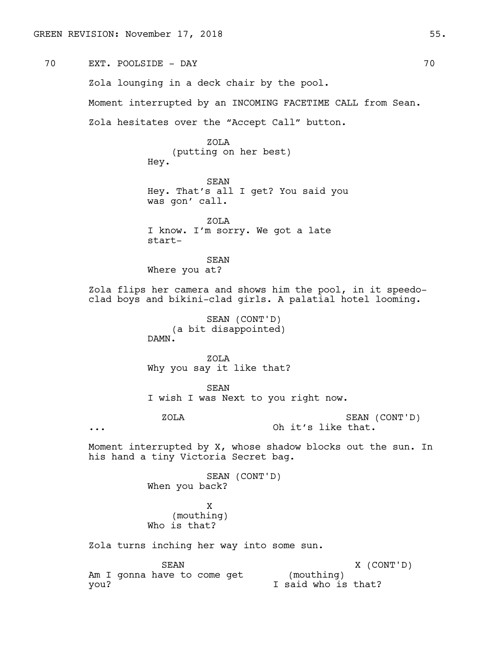70 EXT. POOLSIDE - DAY 70 Zola lounging in a deck chair by the pool. Moment interrupted by an INCOMING FACETIME CALL from Sean. Zola hesitates over the "Accept Call" button. ZOLA (putting on her best) Hey. SEAN Hey. That's all I get? You said you was gon' call. ZOLA I know. I'm sorry. We got a late start-SEAN Where you at? Zola flips her camera and shows him the pool, in it speedoclad boys and bikini-clad girls. A palatial hotel looming. SEAN (CONT'D) (a bit disappointed) DAMN. ZOLA Why you say it like that? SEAN I wish I was Next to you right now. ZOLA ... SEAN (CONT'D) Oh it's like that. Moment interrupted by X, whose shadow blocks out the sun. In his hand a tiny Victoria Secret bag. SEAN (CONT'D) When you back? X (mouthing) Who is that? Zola turns inching her way into some sun. SEAN Am I gonna have to come get you? X (CONT'D) (mouthing) I said who is that?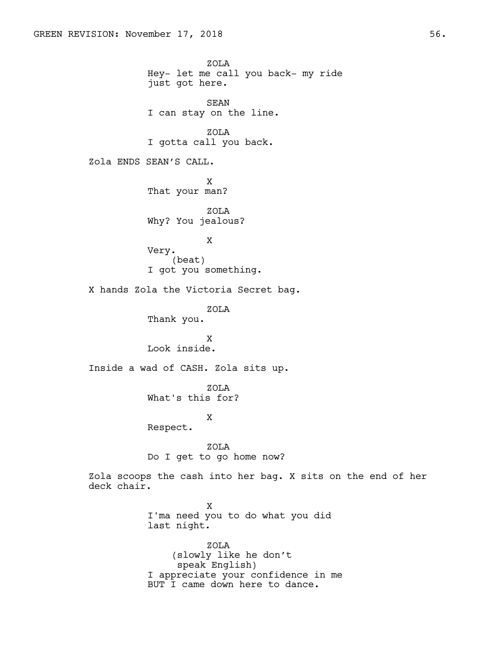ZOLA Hey- let me call you back- my ride just got here. SEAN I can stay on the line. ZOLA I gotta call you back. Zola ENDS SEAN'S CALL. X That your man? ZOLA Why? You jealous? X Very. (beat) I got you something. X hands Zola the Victoria Secret bag. ZOLA Thank you. X Look inside. Inside a wad of CASH. Zola sits up. ZOLA What's this for? X Respect. ZOLA Do I get to go home now? Zola scoops the cash into her bag. X sits on the end of her deck chair. X I'ma need you to do what you did last night. ZOLA (slowly like he don't speak English) I appreciate your confidence in me BUT I came down here to dance.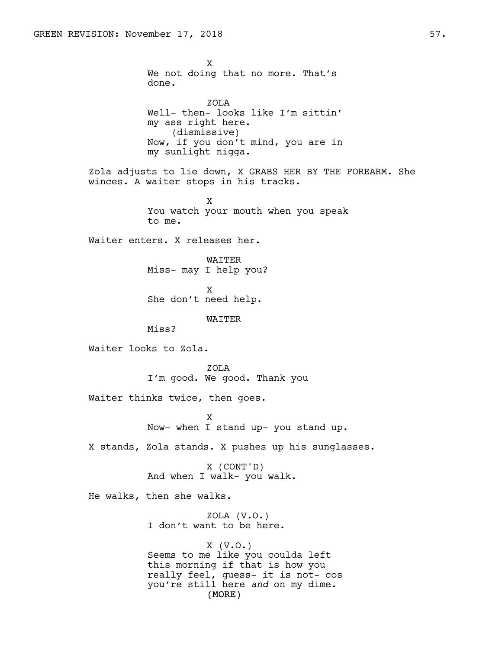X We not doing that no more. That's done. ZOLA Well- then- looks like I'm sittin' my ass right here. (dismissive) Now, if you don't mind, you are in my sunlight nigga. Zola adjusts to lie down, X GRABS HER BY THE FOREARM. She winces. A waiter stops in his tracks. X You watch your mouth when you speak to me. Waiter enters. X releases her. WAITER Miss- may I help you? X She don't need help. WAITER Miss? Waiter looks to Zola. ZOLA I'm good. We good. Thank you Waiter thinks twice, then goes. X Now- when I stand up- you stand up. X stands, Zola stands. X pushes up his sunglasses. X (CONT'D) And when I walk- you walk. He walks, then she walks. ZOLA (V.O.) I don't want to be here.  $X (V.O.)$ Seems to me like you coulda left this morning if that is how you really feel, guess- it is not- cos you're still here *and* on my dime.

(MORE)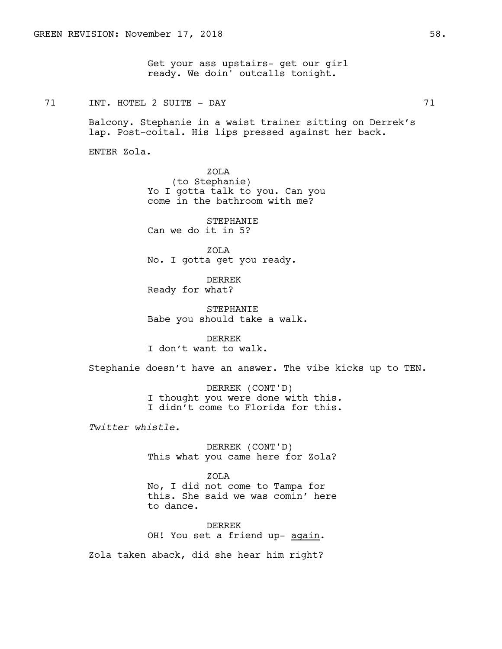Get your ass upstairs- get our girl ready. We doin' outcalls tonight.

71 INT. HOTEL 2 SUITE - DAY 71

Balcony. Stephanie in a waist trainer sitting on Derrek's lap. Post-coital. His lips pressed against her back.

ENTER Zola.

ZOLA (to Stephanie) Yo I gotta talk to you. Can you come in the bathroom with me?

STEPHANIE Can we do it in 5?

ZOLA No. I gotta get you ready.

DERREK Ready for what?

STEPHANIE Babe you should take a walk.

DERREK I don't want to walk.

Stephanie doesn't have an answer. The vibe kicks up to TEN.

DERREK (CONT'D) I thought you were done with this. I didn't come to Florida for this.

*Twitter whistle.*

DERREK (CONT'D) This what you came here for Zola?

ZOLA No, I did not come to Tampa for this. She said we was comin' here to dance.

DERREK OH! You set a friend up- again.

Zola taken aback, did she hear him right?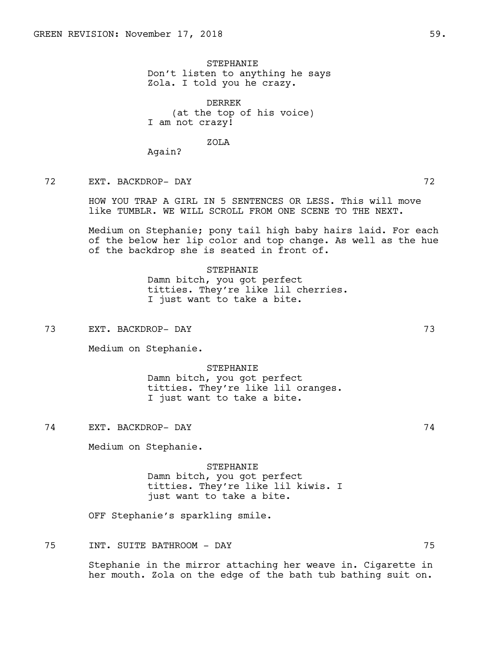**STEPHANIE** Don't listen to anything he says Zola. I told you he crazy.

DERREK (at the top of his voice) I am not crazy!

ZOLA

Again?

72 EXT. BACKDROP- DAY 72

HOW YOU TRAP A GIRL IN 5 SENTENCES OR LESS. This will move like TUMBLR. WE WILL SCROLL FROM ONE SCENE TO THE NEXT.

Medium on Stephanie; pony tail high baby hairs laid. For each of the below her lip color and top change. As well as the hue of the backdrop she is seated in front of.

#### STEPHANIE

Damn bitch, you got perfect titties. They're like lil cherries. I just want to take a bite.

73 EXT. BACKDROP- DAY 73

Medium on Stephanie.

**STEPHANIE** Damn bitch, you got perfect titties. They're like lil oranges. I just want to take a bite.

74 EXT. BACKDROP- DAY 74

Medium on Stephanie.

STEPHANIE Damn bitch, you got perfect titties. They're like lil kiwis. I just want to take a bite.

OFF Stephanie's sparkling smile.

# 75 INT. SUITE BATHROOM - DAY 75

Stephanie in the mirror attaching her weave in. Cigarette in her mouth. Zola on the edge of the bath tub bathing suit on.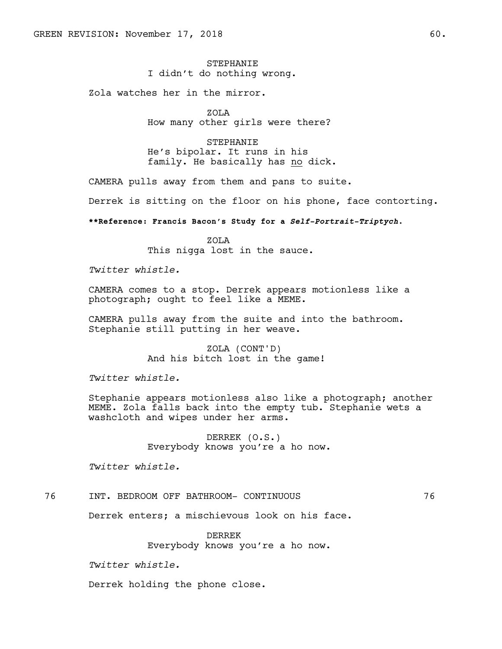STEPHANIE I didn't do nothing wrong.

Zola watches her in the mirror.

ZOLA How many other girls were there?

STEPHANIE He's bipolar. It runs in his family. He basically has no dick.

CAMERA pulls away from them and pans to suite.

Derrek is sitting on the floor on his phone, face contorting.

**\*\*Reference: Francis Bacon's Study for a** *Self-Portrait-Triptych***.**

ZOLA This nigga lost in the sauce.

*Twitter whistle.*

CAMERA comes to a stop. Derrek appears motionless like a photograph; ought to feel like a MEME.

CAMERA pulls away from the suite and into the bathroom. Stephanie still putting in her weave.

> ZOLA (CONT'D) And his bitch lost in the game!

*Twitter whistle.*

Stephanie appears motionless also like a photograph; another MEME. Zola falls back into the empty tub. Stephanie wets a washcloth and wipes under her arms.

> DERREK (O.S.) Everybody knows you're a ho now.

*Twitter whistle.*

# 76 INT. BEDROOM OFF BATHROOM- CONTINUOUS 76

Derrek enters; a mischievous look on his face.

DERREK Everybody knows you're a ho now.

*Twitter whistle.*

Derrek holding the phone close.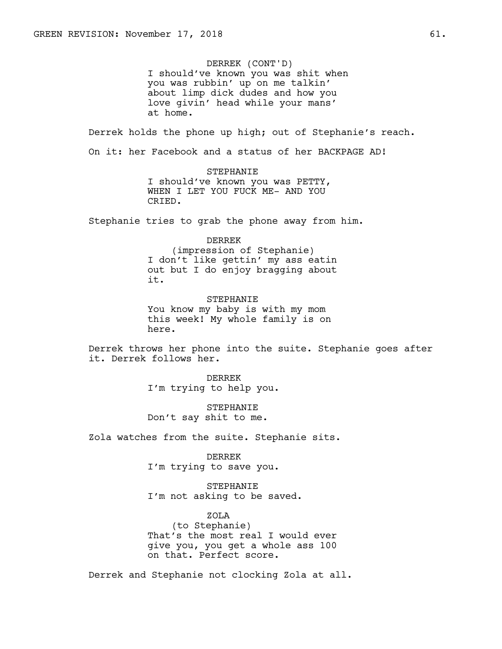DERREK (CONT'D) I should've known you was shit when you was rubbin' up on me talkin' about limp dick dudes and how you love givin' head while your mans' at home.

Derrek holds the phone up high; out of Stephanie's reach. On it: her Facebook and a status of her BACKPAGE AD!

> STEPHANIE I should've known you was PETTY, WHEN I LET YOU FUCK ME- AND YOU CRIED.

Stephanie tries to grab the phone away from him.

#### DERREK

(impression of Stephanie) I don't like gettin' my ass eatin out but I do enjoy bragging about it.

**STEPHANIE** You know my baby is with my mom this week! My whole family is on here.

Derrek throws her phone into the suite. Stephanie goes after it. Derrek follows her.

> DERREK I'm trying to help you.

STEPHANIE Don't say shit to me.

Zola watches from the suite. Stephanie sits.

DERREK I'm trying to save you.

STEPHANIE I'm not asking to be saved.

ZOLA (to Stephanie) That's the most real I would ever give you, you get a whole ass 100 on that. Perfect score.

Derrek and Stephanie not clocking Zola at all.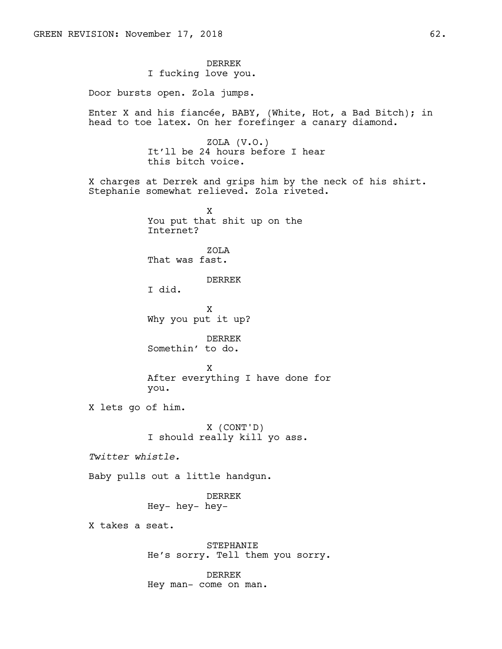DERREK I fucking love you. Door bursts open. Zola jumps. Enter X and his fiancée, BABY, (White, Hot, a Bad Bitch); in head to toe latex. On her forefinger a canary diamond. ZOLA (V.O.) It'll be 24 hours before I hear this bitch voice. X charges at Derrek and grips him by the neck of his shirt. Stephanie somewhat relieved. Zola riveted. X You put that shit up on the Internet? ZOLA That was fast. DERREK I did. X Why you put it up? DERREK Somethin' to do. X After everything I have done for you. X lets go of him. X (CONT'D) I should really kill yo ass. *Twitter whistle.* Baby pulls out a little handgun. DERREK Hey- hey- hey-X takes a seat.

STEPHANIE He's sorry. Tell them you sorry.

DERREK Hey man- come on man.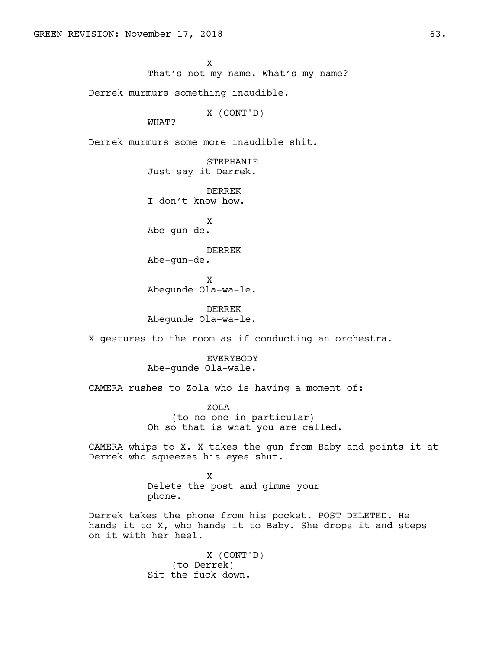X That's not my name. What's my name? Derrek murmurs something inaudible. X (CONT'D) WHAT? Derrek murmurs some more inaudible shit. STEPHANIE Just say it Derrek. DERREK I don't know how. X Abe-gun-de. DERREK Abe-gun-de. X Abegunde Ola-wa-le. DERREK Abegunde Ola-wa-le. X gestures to the room as if conducting an orchestra. EVERYBODY Abe-gunde Ola-wale. CAMERA rushes to Zola who is having a moment of: ZOLA (to no one in particular) Oh so that is what you are called.

CAMERA whips to X. X takes the gun from Baby and points it at Derrek who squeezes his eyes shut.

> X Delete the post and gimme your phone.

Derrek takes the phone from his pocket. POST DELETED. He hands it to X, who hands it to Baby. She drops it and steps on it with her heel.

> X (CONT'D) (to Derrek) Sit the fuck down.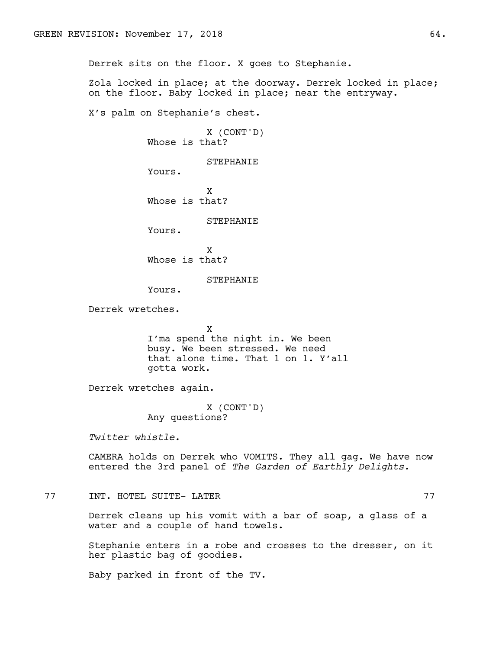Derrek sits on the floor. X goes to Stephanie.

Zola locked in place; at the doorway. Derrek locked in place; on the floor. Baby locked in place; near the entryway.

X's palm on Stephanie's chest.

X (CONT'D) Whose is that?

STEPHANIE

Yours.

X Whose is that?

STEPHANIE

Yours.

X Whose is that?

STEPHANIE

Yours.

Derrek wretches.

X I'ma spend the night in. We been busy. We been stressed. We need that alone time. That 1 on 1. Y'all gotta work.

Derrek wretches again.

X (CONT'D) Any questions?

*Twitter whistle.*

CAMERA holds on Derrek who VOMITS. They all gag. We have now entered the 3rd panel of *The Garden of Earthly Delights.*

77 INT. HOTEL SUITE- LATER 77

Derrek cleans up his vomit with a bar of soap, a glass of a water and a couple of hand towels.

Stephanie enters in a robe and crosses to the dresser, on it her plastic bag of goodies.

Baby parked in front of the TV.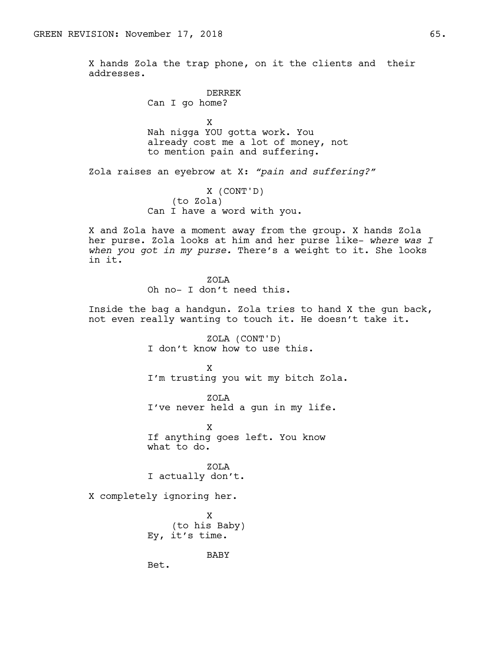X hands Zola the trap phone, on it the clients and their addresses.

> DERREK Can I go home?

X Nah nigga YOU gotta work. You already cost me a lot of money, not to mention pain and suffering.

Zola raises an eyebrow at X: *"pain and suffering?"*

X (CONT'D) (to Zola) Can I have a word with you.

X and Zola have a moment away from the group. X hands Zola her purse. Zola looks at him and her purse like- *where was I when you got in my purse.* There's a weight to it. She looks in it.

> ZOLA Oh no- I don't need this.

Inside the bag a handgun. Zola tries to hand X the gun back, not even really wanting to touch it. He doesn't take it.

> ZOLA (CONT'D) I don't know how to use this.

X I'm trusting you wit my bitch Zola.

ZOLA I've never held a gun in my life.

X If anything goes left. You know what to do.

ZOLA I actually don't.

X completely ignoring her.

X (to his Baby) Ey, it's time.

BABY

Bet.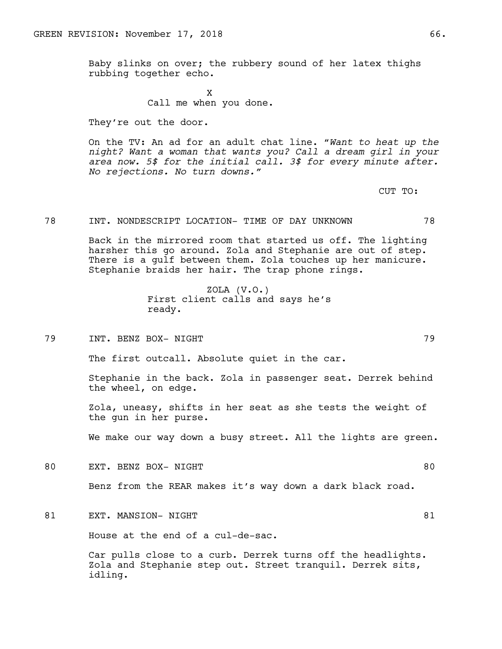Baby slinks on over; the rubbery sound of her latex thighs rubbing together echo.

> X Call me when you done.

They're out the door.

On the TV: An ad for an adult chat line. "*Want to heat up the night? Want a woman that wants you? Call a dream girl in your area now. 5\$ for the initial call. 3\$ for every minute after. No rejections. No turn downs."*

CUT TO:

#### 78 INT. NONDESCRIPT LOCATION- TIME OF DAY UNKNOWN 78

Back in the mirrored room that started us off. The lighting harsher this go around. Zola and Stephanie are out of step. There is a gulf between them. Zola touches up her manicure. Stephanie braids her hair. The trap phone rings.

> ZOLA (V.O.) First client calls and says he's ready.

79 INT. BENZ BOX- NIGHT 79

The first outcall. Absolute quiet in the car.

Stephanie in the back. Zola in passenger seat. Derrek behind the wheel, on edge.

Zola, uneasy, shifts in her seat as she tests the weight of the gun in her purse.

We make our way down a busy street. All the lights are green.

80 EXT. BENZ BOX-NIGHT NO SOLO BOOK AND RESERVE BOOKS AND RESERVE BOOKS AND RESERVE BOOKS AND RESERVE BOOKS AND RESERVE BOOKS AND RESERVE BOOKS AND RESERVE BOOKS AND RESERVE BOOKS AND RESERVE BOOKS AND RELATIONS AND RELATI

Benz from the REAR makes it's way down a dark black road.

81 EXT. MANSION-NIGHT **81** 

House at the end of a cul-de-sac.

Car pulls close to a curb. Derrek turns off the headlights. Zola and Stephanie step out. Street tranquil. Derrek sits, idling.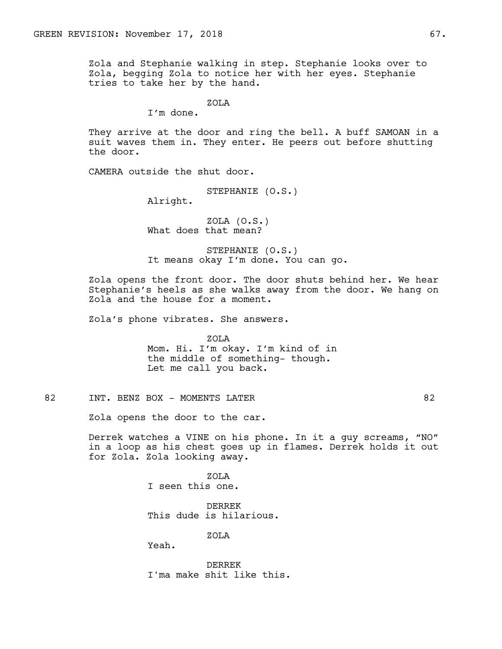Zola and Stephanie walking in step. Stephanie looks over to Zola, begging Zola to notice her with her eyes. Stephanie tries to take her by the hand.

ZOLA

I'm done.

They arrive at the door and ring the bell. A buff SAMOAN in a suit waves them in. They enter. He peers out before shutting the door.

CAMERA outside the shut door.

STEPHANIE (O.S.)

Alright.

ZOLA (O.S.) What does that mean?

STEPHANIE (O.S.) It means okay I'm done. You can go.

Zola opens the front door. The door shuts behind her. We hear Stephanie's heels as she walks away from the door. We hang on Zola and the house for a moment.

Zola's phone vibrates. She answers.

ZOLA Mom. Hi. I'm okay. I'm kind of in the middle of something- though. Let me call you back.

82 INT. BENZ BOX - MOMENTS LATER 62

Zola opens the door to the car.

Derrek watches a VINE on his phone. In it a guy screams, "NO" in a loop as his chest goes up in flames. Derrek holds it out for Zola. Zola looking away.

> ZOLA I seen this one.

DERREK This dude is hilarious.

ZOLA

Yeah.

DERREK I'ma make shit like this.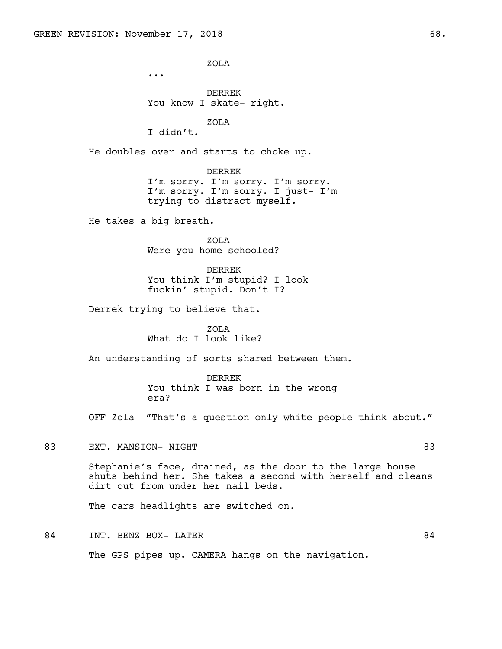ZOLA

...

DERREK You know I skate- right.

ZOLA

I didn't.

He doubles over and starts to choke up.

DERREK I'm sorry. I'm sorry. I'm sorry. I'm sorry. I'm sorry. I just- I'm trying to distract myself.

He takes a big breath.

ZOLA Were you home schooled?

DERREK You think I'm stupid? I look fuckin' stupid. Don't I?

Derrek trying to believe that.

ZOLA What do I look like?

An understanding of sorts shared between them.

DERREK You think I was born in the wrong era?

OFF Zola- "That's a question only white people think about."

83 EXT. MANSION-NIGHT **83** external state of  $\overline{a}$  and  $\overline{b}$  and  $\overline{b}$  and  $\overline{b}$  and  $\overline{b}$  and  $\overline{b}$  and  $\overline{b}$  and  $\overline{b}$  and  $\overline{b}$  and  $\overline{b}$  and  $\overline{b}$  and  $\overline{b}$  and  $\overline{b}$  and  $\overline{b}$ 

Stephanie's face, drained, as the door to the large house shuts behind her. She takes a second with herself and cleans dirt out from under her nail beds.

The cars headlights are switched on.

84 INT. BENZ BOX- LATER 84

The GPS pipes up. CAMERA hangs on the navigation.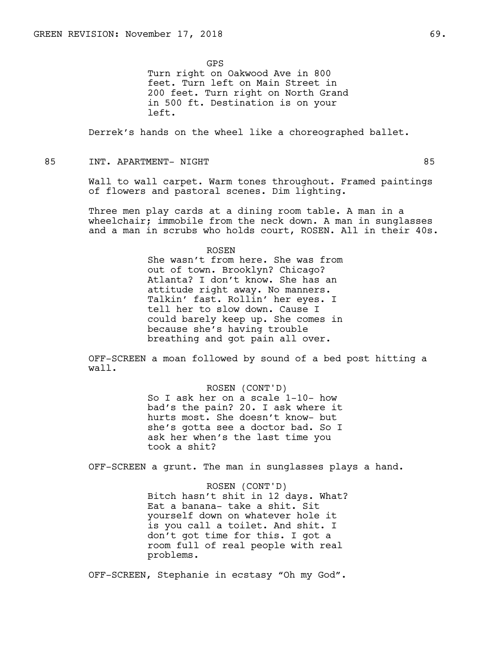GPS Turn right on Oakwood Ave in 800 feet. Turn left on Main Street in 200 feet. Turn right on North Grand in 500 ft. Destination is on your left.

Derrek's hands on the wheel like a choreographed ballet.

### 85 INT. APARTMENT- NIGHT 85

Wall to wall carpet. Warm tones throughout. Framed paintings of flowers and pastoral scenes. Dim lighting.

Three men play cards at a dining room table. A man in a wheelchair; immobile from the neck down. A man in sunglasses and a man in scrubs who holds court, ROSEN. All in their 40s.

# ROSEN She wasn't from here. She was from out of town. Brooklyn? Chicago? Atlanta? I don't know. She has an attitude right away. No manners. Talkin' fast. Rollin' her eyes. I tell her to slow down. Cause I could barely keep up. She comes in because she's having trouble breathing and got pain all over.

OFF-SCREEN a moan followed by sound of a bed post hitting a wall.

> ROSEN (CONT'D) So I ask her on a scale 1-10- how bad's the pain? 20. I ask where it hurts most. She doesn't know- but she's gotta see a doctor bad. So I ask her when's the last time you took a shit?

OFF-SCREEN a grunt. The man in sunglasses plays a hand.

ROSEN (CONT'D) Bitch hasn't shit in 12 days. What? Eat a banana- take a shit. Sit yourself down on whatever hole it is you call a toilet. And shit. I don't got time for this. I got a room full of real people with real problems.

OFF-SCREEN, Stephanie in ecstasy "Oh my God".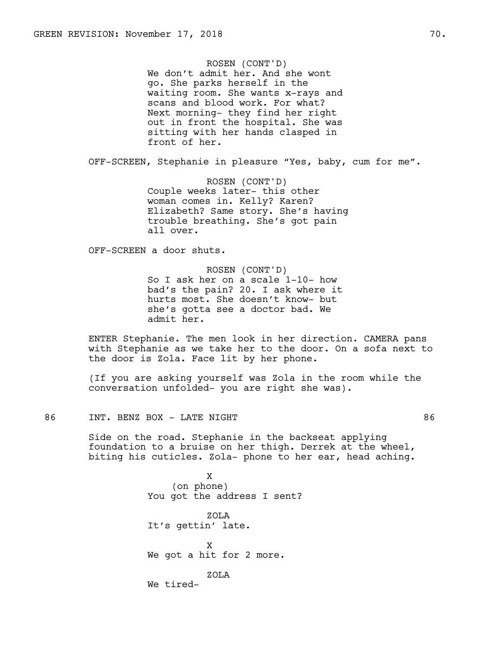ROSEN (CONT'D) We don't admit her. And she wont go. She parks herself in the waiting room. She wants x-rays and scans and blood work. For what? Next morning- they find her right out in front the hospital. She was sitting with her hands clasped in front of her.

OFF-SCREEN, Stephanie in pleasure "Yes, baby, cum for me".

ROSEN (CONT'D) Couple weeks later- this other woman comes in. Kelly? Karen? Elizabeth? Same story. She's having trouble breathing. She's got pain all over.

OFF-SCREEN a door shuts.

#### ROSEN (CONT'D)

So I ask her on a scale 1-10- how bad's the pain? 20. I ask where it hurts most. She doesn't know- but she's gotta see a doctor bad. We admit her.

ENTER Stephanie. The men look in her direction. CAMERA pans with Stephanie as we take her to the door. On a sofa next to the door is Zola. Face lit by her phone.

(If you are asking yourself was Zola in the room while the conversation unfolded- you are right she was).

# 86 INT. BENZ BOX - LATE NIGHT NATIONAL SERVICE SERVICE SERVICE SERVICE SERVICE SERVICE SERVICE SERVICE SERVICE

Side on the road. Stephanie in the backseat applying foundation to a bruise on her thigh. Derrek at the wheel, biting his cuticles. Zola- phone to her ear, head aching.

> X (on phone) You got the address I sent? ZOLA It's gettin' late. X We got a hit for 2 more. ZOLA We tired-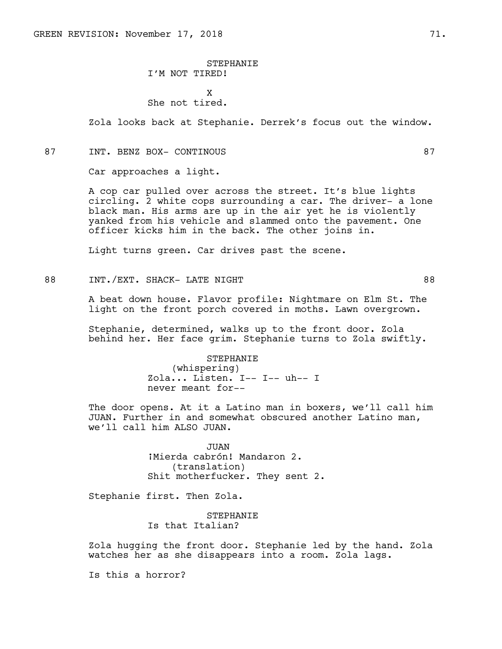### STEPHANIE I'M NOT TIRED!

X She not tired.

Zola looks back at Stephanie. Derrek's focus out the window.

87 INT. BENZ BOX- CONTINOUS 87

Car approaches a light.

A cop car pulled over across the street. It's blue lights circling. 2 white cops surrounding a car. The driver- a lone black man. His arms are up in the air yet he is violently yanked from his vehicle and slammed onto the pavement. One officer kicks him in the back. The other joins in.

Light turns green. Car drives past the scene.

88 INT./EXT. SHACK- LATE NIGHT NET RESERVE THAT A SAMPLE ASSESSED.

A beat down house. Flavor profile: Nightmare on Elm St. The light on the front porch covered in moths. Lawn overgrown.

Stephanie, determined, walks up to the front door. Zola behind her. Her face grim. Stephanie turns to Zola swiftly.

> STEPHANIE (whispering) Zola... Listen. I-- I-- uh-- I never meant for--

The door opens. At it a Latino man in boxers, we'll call him JUAN. Further in and somewhat obscured another Latino man, we'll call him ALSO JUAN.

> JUAN. ¡Mierda cabrón! Mandaron 2. (translation) Shit motherfucker. They sent 2.

Stephanie first. Then Zola.

**STEPHANIE** Is that Italian?

Zola hugging the front door. Stephanie led by the hand. Zola watches her as she disappears into a room. Zola lags.

Is this a horror?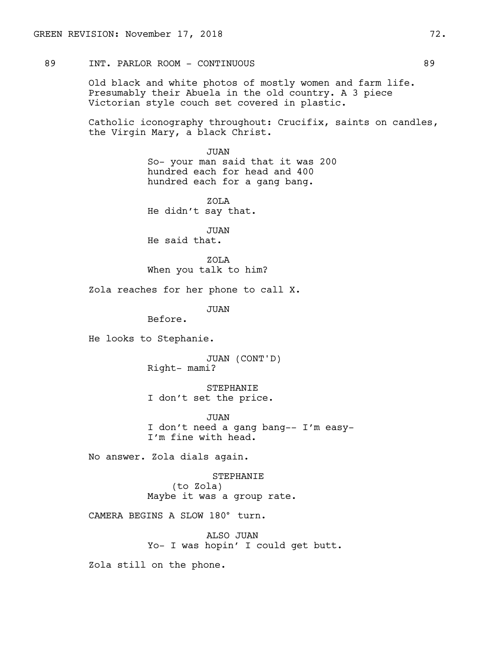89 INT. PARLOR ROOM - CONTINUOUS 89

Old black and white photos of mostly women and farm life. Presumably their Abuela in the old country. A 3 piece Victorian style couch set covered in plastic.

Catholic iconography throughout: Crucifix, saints on candles, the Virgin Mary, a black Christ.

> JUAN So- your man said that it was 200 hundred each for head and 400 hundred each for a gang bang.

ZOLA He didn't say that.

JUAN He said that.

ZOLA When you talk to him?

Zola reaches for her phone to call X.

JUAN

Before.

He looks to Stephanie.

JUAN (CONT'D) Right- mami?

STEPHANIE I don't set the price.

JUAN I don't need a gang bang-- I'm easy-I'm fine with head.

No answer. Zola dials again.

STEPHANIE (to Zola) Maybe it was a group rate.

CAMERA BEGINS A SLOW 180° turn.

ALSO JUAN Yo- I was hopin' I could get butt.

Zola still on the phone.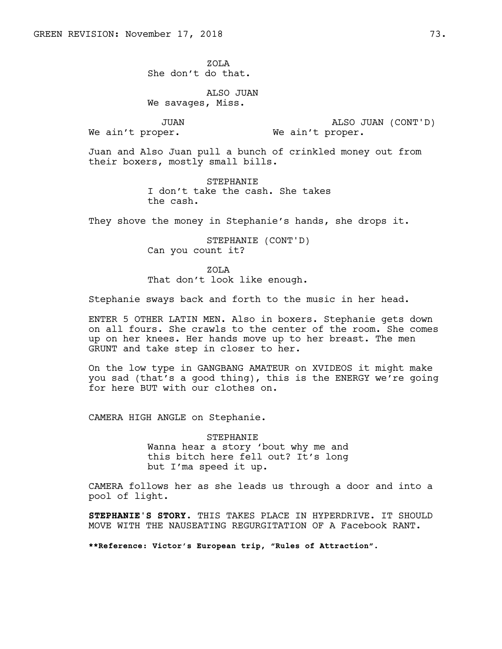ZOLA She don't do that.

ALSO JUAN We savages, Miss.

JUAN We ain't proper.

ALSO JUAN (CONT'D) We ain't proper.

Juan and Also Juan pull a bunch of crinkled money out from their boxers, mostly small bills.

> STEPHANIE I don't take the cash. She takes the cash.

They shove the money in Stephanie's hands, she drops it.

STEPHANIE (CONT'D) Can you count it?

ZOLA That don't look like enough.

Stephanie sways back and forth to the music in her head.

ENTER 5 OTHER LATIN MEN. Also in boxers. Stephanie gets down on all fours. She crawls to the center of the room. She comes up on her knees. Her hands move up to her breast. The men GRUNT and take step in closer to her.

On the low type in GANGBANG AMATEUR on XVIDEOS it might make you sad (that's a good thing), this is the ENERGY we're going for here BUT with our clothes on.

CAMERA HIGH ANGLE on Stephanie.

STEPHANIE Wanna hear a story 'bout why me and this bitch here fell out? It's long but I'ma speed it up.

CAMERA follows her as she leads us through a door and into a pool of light.

**STEPHANIE'S STORY**. THIS TAKES PLACE IN HYPERDRIVE. IT SHOULD MOVE WITH THE NAUSEATING REGURGITATION OF A Facebook RANT.

**\*\*Reference: Victor's European trip, "Rules of Attraction".**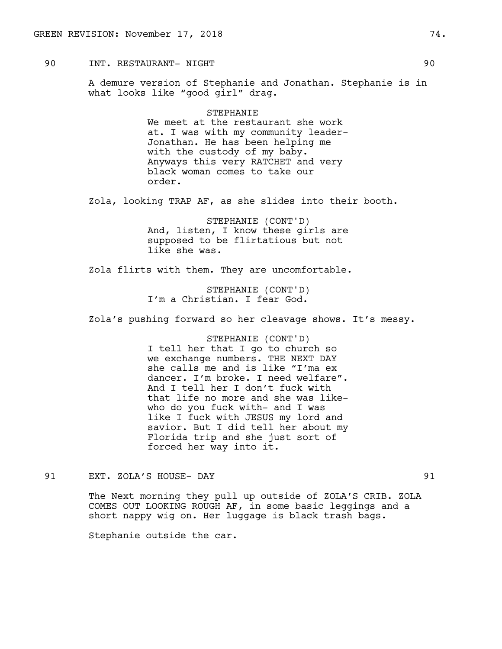# 90 INT. RESTAURANT- NIGHT 90

A demure version of Stephanie and Jonathan. Stephanie is in what looks like "good girl" drag.

#### STEPHANIE

We meet at the restaurant she work at. I was with my community leader-Jonathan. He has been helping me with the custody of my baby. Anyways this very RATCHET and very black woman comes to take our order.

Zola, looking TRAP AF, as she slides into their booth.

STEPHANIE (CONT'D) And, listen, I know these girls are supposed to be flirtatious but not like she was.

Zola flirts with them. They are uncomfortable.

STEPHANIE (CONT'D) I'm a Christian. I fear God.

Zola's pushing forward so her cleavage shows. It's messy.

STEPHANIE (CONT'D) I tell her that I go to church so we exchange numbers. THE NEXT DAY she calls me and is like "I'ma ex dancer. I'm broke. I need welfare". And I tell her I don't fuck with that life no more and she was likewho do you fuck with- and I was like I fuck with JESUS my lord and savior. But I did tell her about my Florida trip and she just sort of forced her way into it.

91 EXT. ZOLA'S HOUSE- DAY 91

The Next morning they pull up outside of ZOLA'S CRIB. ZOLA COMES OUT LOOKING ROUGH AF, in some basic leggings and a short nappy wig on. Her luggage is black trash bags.

Stephanie outside the car.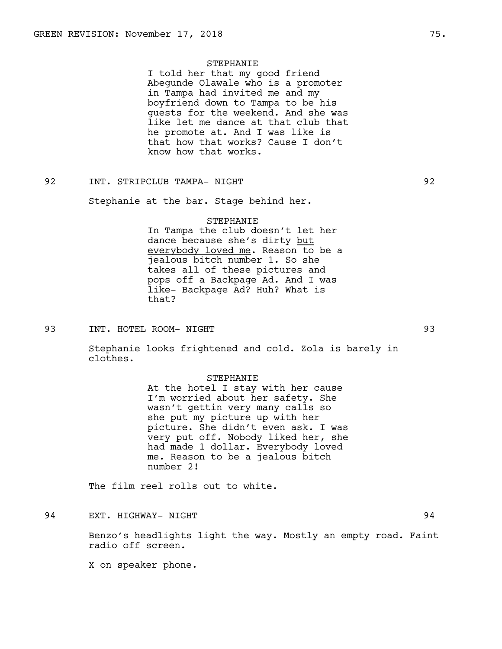### STEPHANIE

I told her that my good friend Abegunde Olawale who is a promoter in Tampa had invited me and my boyfriend down to Tampa to be his guests for the weekend. And she was like let me dance at that club that he promote at. And I was like is that how that works? Cause I don't know how that works.

# 92 INT. STRIPCLUB TAMPA- NIGHT 92

Stephanie at the bar. Stage behind her.

#### STEPHANIE

In Tampa the club doesn't let her dance because she's dirty but everybody loved me. Reason to be a jealous bitch number 1. So she takes all of these pictures and pops off a Backpage Ad. And I was like- Backpage Ad? Huh? What is that?

93 INT. HOTEL ROOM- NIGHT 93

Stephanie looks frightened and cold. Zola is barely in clothes.

#### STEPHANIE

At the hotel I stay with her cause I'm worried about her safety. She wasn't gettin very many calls so she put my picture up with her picture. She didn't even ask. I was very put off. Nobody liked her, she had made 1 dollar. Everybody loved me. Reason to be a jealous bitch number 2!

The film reel rolls out to white.

94 EXT. HIGHWAY- NIGHT 94

Benzo's headlights light the way. Mostly an empty road. Faint radio off screen.

X on speaker phone.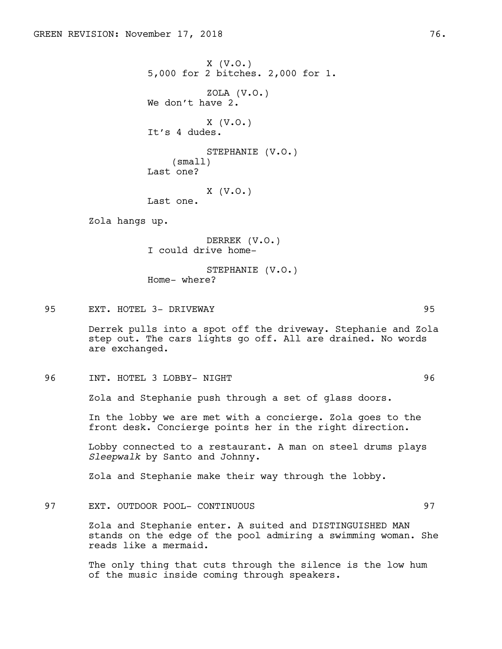$X (V.O.)$ 5,000 for 2 bitches. 2,000 for 1. ZOLA (V.O.) We don't have 2.  $X (V.O.)$ It's 4 dudes. STEPHANIE (V.O.) (small) Last one? X (V.O.) Last one. Zola hangs up. DERREK (V.O.) I could drive home-

> STEPHANIE (V.O.) Home- where?

95 EXT. HOTEL 3- DRIVEWAY 95

Derrek pulls into a spot off the driveway. Stephanie and Zola step out. The cars lights go off. All are drained. No words are exchanged.

## 96 INT. HOTEL 3 LOBBY- NIGHT 96

Zola and Stephanie push through a set of glass doors.

In the lobby we are met with a concierge. Zola goes to the front desk. Concierge points her in the right direction.

Lobby connected to a restaurant. A man on steel drums plays *Sleepwalk* by Santo and Johnny.

Zola and Stephanie make their way through the lobby.

97 EXT. OUTDOOR POOL- CONTINUOUS 97

Zola and Stephanie enter. A suited and DISTINGUISHED MAN stands on the edge of the pool admiring a swimming woman. She reads like a mermaid.

The only thing that cuts through the silence is the low hum of the music inside coming through speakers.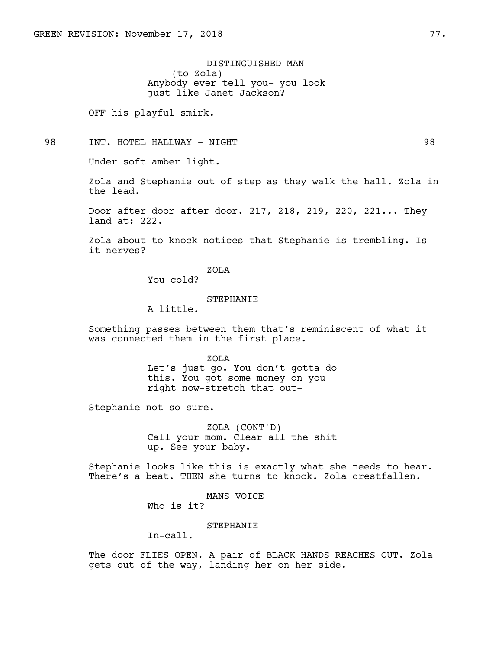DISTINGUISHED MAN (to Zola) Anybody ever tell you- you look just like Janet Jackson?

OFF his playful smirk.

98 INT. HOTEL HALLWAY - NIGHT 198

Under soft amber light.

Zola and Stephanie out of step as they walk the hall. Zola in the lead.

Door after door after door. 217, 218, 219, 220, 221... They land at: 222.

Zola about to knock notices that Stephanie is trembling. Is it nerves?

ZOLA

You cold?

## **STEPHANIE**

A little.

Something passes between them that's reminiscent of what it was connected them in the first place.

> ZOLA Let's just go. You don't gotta do this. You got some money on you right now-stretch that out-

Stephanie not so sure.

ZOLA (CONT'D) Call your mom. Clear all the shit up. See your baby.

Stephanie looks like this is exactly what she needs to hear. There's a beat. THEN she turns to knock. Zola crestfallen.

> MANS VOICE Who is it?

> > STEPHANIE

In-call.

The door FLIES OPEN. A pair of BLACK HANDS REACHES OUT. Zola gets out of the way, landing her on her side.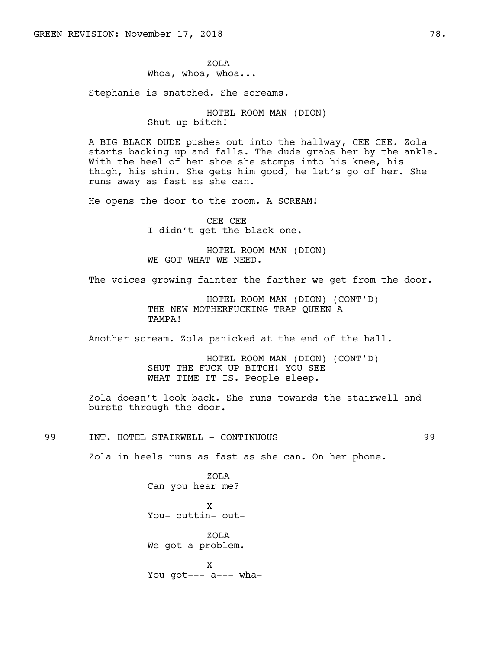ZOLA Whoa, whoa, whoa...

Stephanie is snatched. She screams.

HOTEL ROOM MAN (DION) Shut up bitch!

A BIG BLACK DUDE pushes out into the hallway, CEE CEE. Zola starts backing up and falls. The dude grabs her by the ankle. With the heel of her shoe she stomps into his knee, his thigh, his shin. She gets him good, he let's go of her. She runs away as fast as she can.

He opens the door to the room. A SCREAM!

CEE CEE I didn't get the black one.

HOTEL ROOM MAN (DION) WE GOT WHAT WE NEED.

The voices growing fainter the farther we get from the door.

HOTEL ROOM MAN (DION) (CONT'D) THE NEW MOTHERFUCKING TRAP QUEEN A TAMPA!

Another scream. Zola panicked at the end of the hall.

HOTEL ROOM MAN (DION) (CONT'D) SHUT THE FUCK UP BITCH! YOU SEE WHAT TIME IT IS. People sleep.

Zola doesn't look back. She runs towards the stairwell and bursts through the door.

99 INT. HOTEL STAIRWELL - CONTINUOUS 99

Zola in heels runs as fast as she can. On her phone.

ZOLA Can you hear me? X You- cuttin- out-ZOLA We got a problem. X You got--- a--- wha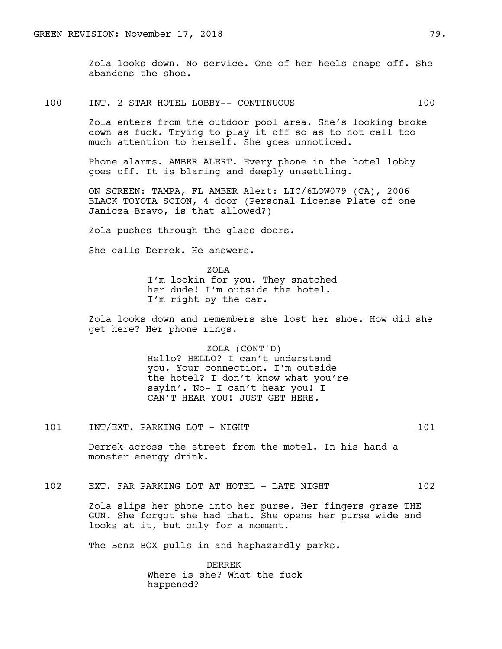Zola looks down. No service. One of her heels snaps off. She abandons the shoe.

#### 100 INT. 2 STAR HOTEL LOBBY-- CONTINUOUS 100

Zola enters from the outdoor pool area. She's looking broke down as fuck. Trying to play it off so as to not call too much attention to herself. She goes unnoticed.

Phone alarms. AMBER ALERT. Every phone in the hotel lobby goes off. It is blaring and deeply unsettling.

ON SCREEN: TAMPA, FL AMBER Alert: LIC/6LOW079 (CA), 2006 BLACK TOYOTA SCION, 4 door (Personal License Plate of one Janicza Bravo, is that allowed?)

Zola pushes through the glass doors.

She calls Derrek. He answers.

ZOLA I'm lookin for you. They snatched her dude! I'm outside the hotel. I'm right by the car.

Zola looks down and remembers she lost her shoe. How did she get here? Her phone rings.

> ZOLA (CONT'D) Hello? HELLO? I can't understand you. Your connection. I'm outside the hotel? I don't know what you're sayin'. No- I can't hear you! I CAN'T HEAR YOU! JUST GET HERE.

101 INT/EXT. PARKING LOT - NIGHT 101 101

Derrek across the street from the motel. In his hand a monster energy drink.

# 102 EXT. FAR PARKING LOT AT HOTEL - LATE NIGHT 102

Zola slips her phone into her purse. Her fingers graze THE GUN. She forgot she had that. She opens her purse wide and looks at it, but only for a moment.

The Benz BOX pulls in and haphazardly parks.

DERREK Where is she? What the fuck happened?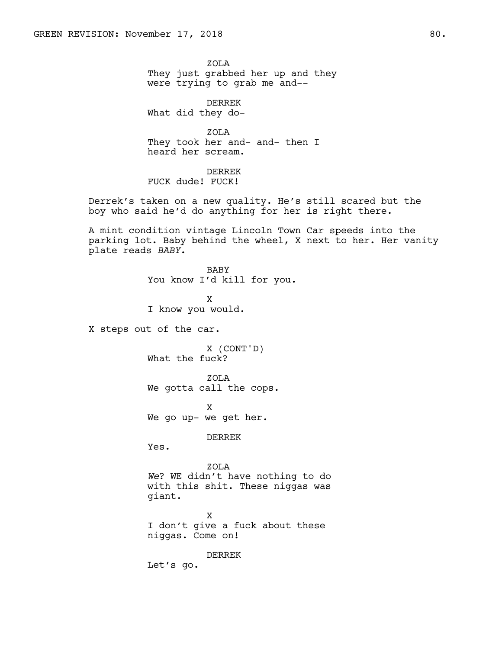ZOLA They just grabbed her up and they were trying to grab me and--

DERREK What did they do-

ZOLA They took her and- and- then I heard her scream.

DERREK FUCK dude! FUCK!

Derrek's taken on a new quality. He's still scared but the boy who said he'd do anything for her is right there.

A mint condition vintage Lincoln Town Car speeds into the parking lot. Baby behind the wheel, X next to her. Her vanity plate reads *BABY*.

> BABY You know I'd kill for you.

X I know you would.

X steps out of the car.

X (CONT'D) What the fuck?

ZOLA We gotta call the cops.

X We go up- we get her.

DERREK

Yes.

ZOLA *We*? WE didn't have nothing to do with this shit. These niggas was giant.

X I don't give a fuck about these niggas. Come on!

DERREK

Let's go.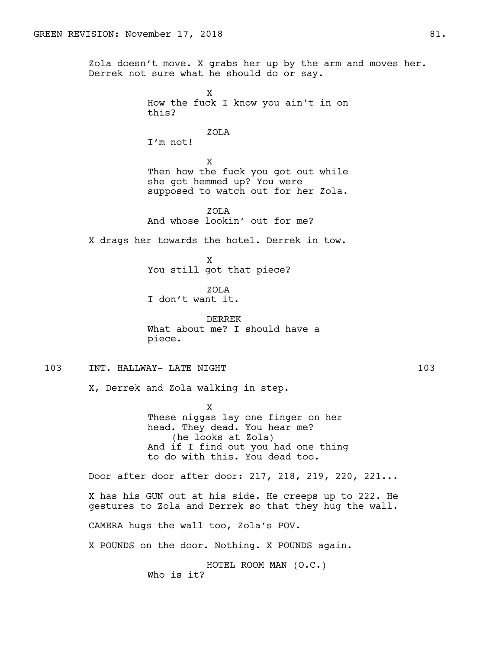Zola doesn't move. X grabs her up by the arm and moves her. Derrek not sure what he should do or say. X How the fuck I know you ain't in on this? ZOLA I'm not! X Then how the fuck you got out while she got hemmed up? You were supposed to watch out for her Zola. ZOLA And whose lookin' out for me? X drags her towards the hotel. Derrek in tow. X You still got that piece? ZOLA I don't want it. DERREK What about me? I should have a piece. 103 INT. HALLWAY- LATE NIGHT 103 X, Derrek and Zola walking in step. X These niggas lay one finger on her head. They dead. You hear me? (he looks at Zola) And if I find out you had one thing to do with this. You dead too. Door after door after door: 217, 218, 219, 220, 221... X has his GUN out at his side. He creeps up to 222. He gestures to Zola and Derrek so that they hug the wall. CAMERA hugs the wall too, Zola's POV. X POUNDS on the door. Nothing. X POUNDS again. HOTEL ROOM MAN (O.C.) Who is it?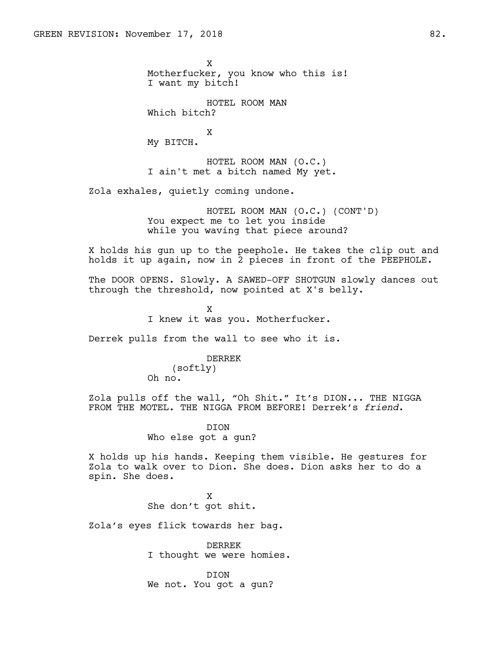X Motherfucker, you know who this is! I want my bitch!

HOTEL ROOM MAN Which bitch?

X My BITCH.

HOTEL ROOM MAN (O.C.) I ain't met a bitch named My yet.

Zola exhales, quietly coming undone.

HOTEL ROOM MAN (O.C.) (CONT'D) You expect me to let you inside while you waving that piece around?

X holds his gun up to the peephole. He takes the clip out and holds it up again, now in 2 pieces in front of the PEEPHOLE.

The DOOR OPENS. Slowly. A SAWED-OFF SHOTGUN slowly dances out through the threshold, now pointed at X's belly.

> X I knew it was you. Motherfucker.

Derrek pulls from the wall to see who it is.

#### DERREK

## (softly)

Oh no.

Zola pulls off the wall, "Oh Shit." It's DION... THE NIGGA FROM THE MOTEL. THE NIGGA FROM BEFORE! Derrek's *friend*.

> DION Who else got a gun?

X holds up his hands. Keeping them visible. He gestures for Zola to walk over to Dion. She does. Dion asks her to do a spin. She does.

> X She don't got shit.

Zola's eyes flick towards her bag.

DERREK I thought we were homies.

DION We not. You got a gun?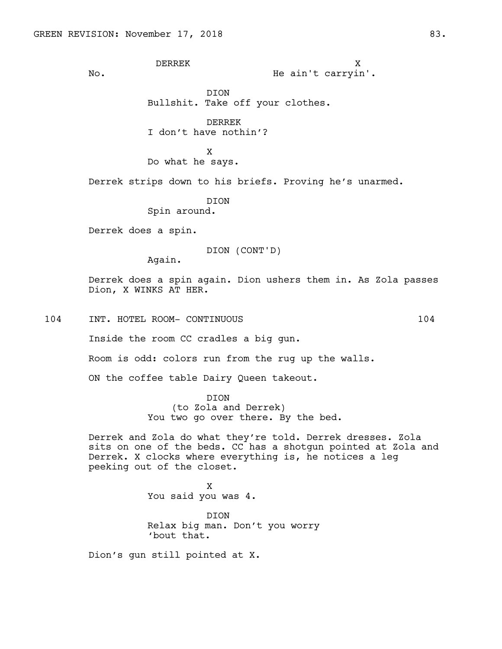No.

X He ain't carryin'.

DION Bullshit. Take off your clothes.

DERREK I don't have nothin'?

X Do what he says.

Derrek strips down to his briefs. Proving he's unarmed.

DION

Spin around.

DERREK

Derrek does a spin.

DION (CONT'D)

Again.

Derrek does a spin again. Dion ushers them in. As Zola passes Dion, X WINKS AT HER.

104 INT. HOTEL ROOM- CONTINUOUS 104

Inside the room CC cradles a big gun.

Room is odd: colors run from the rug up the walls.

ON the coffee table Dairy Queen takeout.

DION (to Zola and Derrek) You two go over there. By the bed.

Derrek and Zola do what they're told. Derrek dresses. Zola sits on one of the beds. CC has a shotgun pointed at Zola and Derrek. X clocks where everything is, he notices a leg peeking out of the closet.

> X You said you was 4.

DION Relax big man. Don't you worry 'bout that.

Dion's gun still pointed at X.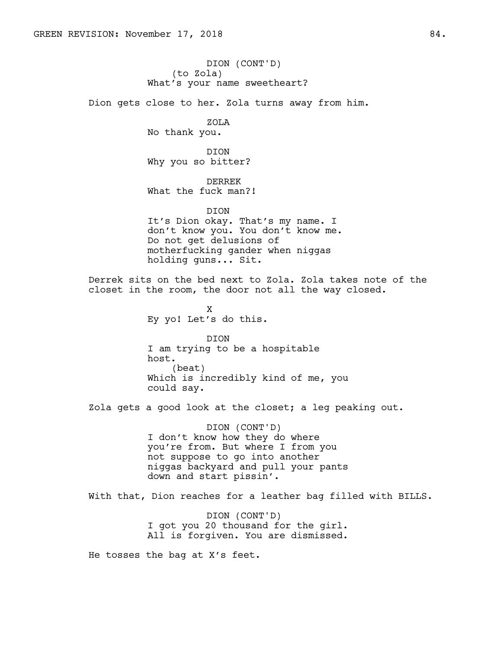DION (CONT'D) (to Zola) What's your name sweetheart?

Dion gets close to her. Zola turns away from him.

ZOLA No thank you.

DION Why you so bitter?

DERREK What the fuck man?!

DION It's Dion okay. That's my name. I don't know you. You don't know me. Do not get delusions of motherfucking gander when niggas holding guns... Sit.

Derrek sits on the bed next to Zola. Zola takes note of the closet in the room, the door not all the way closed.

> X Ey yo! Let's do this.

DION I am trying to be a hospitable host. (beat) Which is incredibly kind of me, you could say.

Zola gets a good look at the closet; a leg peaking out.

DION (CONT'D) I don't know how they do where you're from. But where I from you not suppose to go into another niggas backyard and pull your pants down and start pissin'.

With that, Dion reaches for a leather bag filled with BILLS.

DION (CONT'D) I got you 20 thousand for the girl. All is forgiven. You are dismissed.

He tosses the bag at X's feet.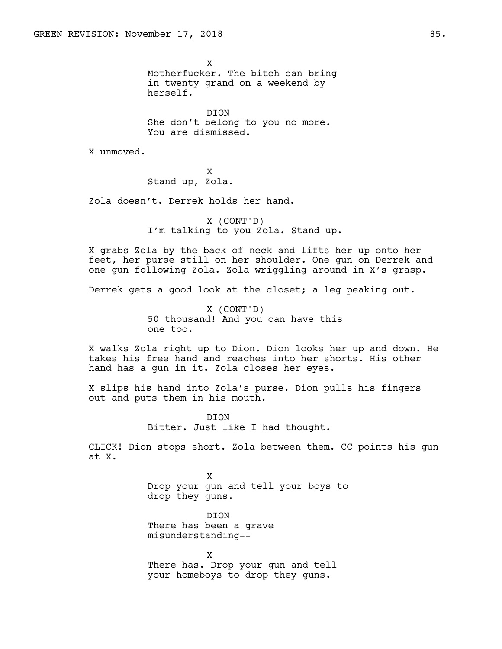X Motherfucker. The bitch can bring in twenty grand on a weekend by herself.

DION She don't belong to you no more. You are dismissed.

X unmoved.

X Stand up, Zola.

Zola doesn't. Derrek holds her hand.

X (CONT'D) I'm talking to you Zola. Stand up.

X grabs Zola by the back of neck and lifts her up onto her feet, her purse still on her shoulder. One gun on Derrek and one gun following Zola. Zola wriggling around in X's grasp.

Derrek gets a good look at the closet; a leg peaking out.

X (CONT'D) 50 thousand! And you can have this one too.

X walks Zola right up to Dion. Dion looks her up and down. He takes his free hand and reaches into her shorts. His other hand has a gun in it. Zola closes her eyes.

X slips his hand into Zola's purse. Dion pulls his fingers out and puts them in his mouth.

> DION Bitter. Just like I had thought.

CLICK! Dion stops short. Zola between them. CC points his gun at X.

> X Drop your gun and tell your boys to drop they guns.

DION There has been a grave misunderstanding--

X There has. Drop your gun and tell your homeboys to drop they guns.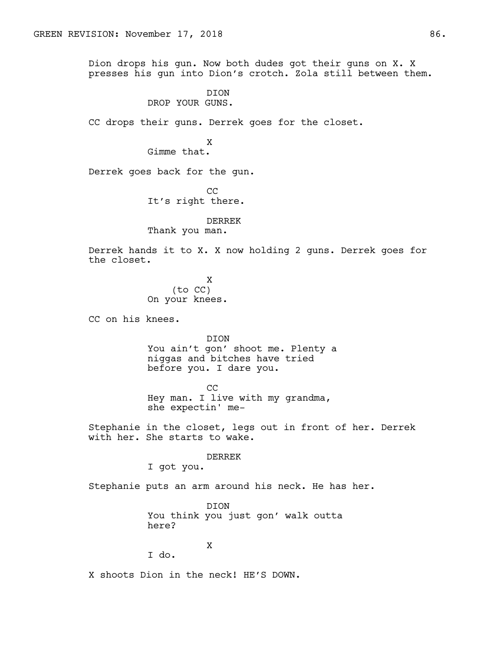Dion drops his gun. Now both dudes got their guns on X. X presses his gun into Dion's crotch. Zola still between them.

DION DROP YOUR GUNS. CC drops their guns. Derrek goes for the closet. X Gimme that. Derrek goes back for the gun. CC It's right there. DERREK Thank you man. Derrek hands it to X. X now holding 2 guns. Derrek goes for the closet. X (to CC) On your knees. CC on his knees. DION You ain't gon' shoot me. Plenty a niggas and bitches have tried before you. I dare you. CC Hey man. I live with my grandma, she expectin' me-Stephanie in the closet, legs out in front of her. Derrek with her. She starts to wake. DERREK I got you. Stephanie puts an arm around his neck. He has her. DION You think you just gon' walk outta here? X I do. X shoots Dion in the neck! HE'S DOWN.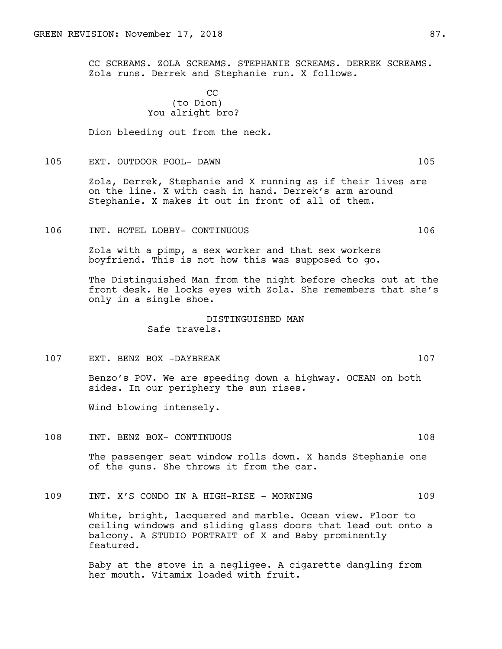CC SCREAMS. ZOLA SCREAMS. STEPHANIE SCREAMS. DERREK SCREAMS. Zola runs. Derrek and Stephanie run. X follows.

> CC (to Dion) You alright bro?

Dion bleeding out from the neck.

## 105 EXT. OUTDOOR POOL- DAWN 105

Zola, Derrek, Stephanie and X running as if their lives are on the line. X with cash in hand. Derrek's arm around Stephanie. X makes it out in front of all of them.

106 INT. HOTEL LOBBY- CONTINUOUS 106

Zola with a pimp, a sex worker and that sex workers boyfriend. This is not how this was supposed to go.

The Distinguished Man from the night before checks out at the front desk. He locks eyes with Zola. She remembers that she's only in a single shoe.

> DISTINGUISHED MAN Safe travels.

107 EXT. BENZ BOX -DAYBREAK 107

Benzo's POV. We are speeding down a highway. OCEAN on both sides. In our periphery the sun rises.

Wind blowing intensely.

108 INT. BENZ BOX- CONTINUOUS 108

The passenger seat window rolls down. X hands Stephanie one of the guns. She throws it from the car.

109 INT. X'S CONDO IN A HIGH-RISE - MORNING 109

White, bright, lacquered and marble. Ocean view. Floor to ceiling windows and sliding glass doors that lead out onto a balcony. A STUDIO PORTRAIT of X and Baby prominently featured.

Baby at the stove in a negligee. A cigarette dangling from her mouth. Vitamix loaded with fruit.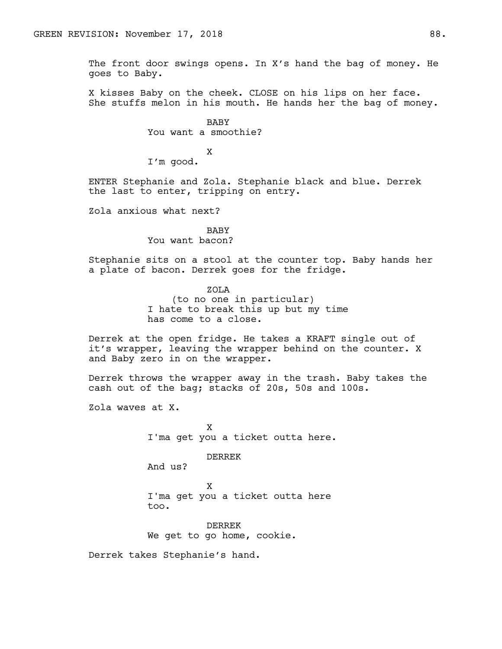The front door swings opens. In X's hand the bag of money. He goes to Baby.

X kisses Baby on the cheek. CLOSE on his lips on her face. She stuffs melon in his mouth. He hands her the bag of money.

> BABY You want a smoothie?

> > X

I'm good.

ENTER Stephanie and Zola. Stephanie black and blue. Derrek the last to enter, tripping on entry.

Zola anxious what next?

BABY You want bacon?

Stephanie sits on a stool at the counter top. Baby hands her a plate of bacon. Derrek goes for the fridge.

> ZOLA (to no one in particular) I hate to break this up but my time has come to a close.

Derrek at the open fridge. He takes a KRAFT single out of it's wrapper, leaving the wrapper behind on the counter. X and Baby zero in on the wrapper.

Derrek throws the wrapper away in the trash. Baby takes the cash out of the bag; stacks of 20s, 50s and 100s.

Zola waves at X.

X I'ma get you a ticket outta here.

DERREK

And us?

X I'ma get you a ticket outta here too.

DERREK We get to go home, cookie.

Derrek takes Stephanie's hand.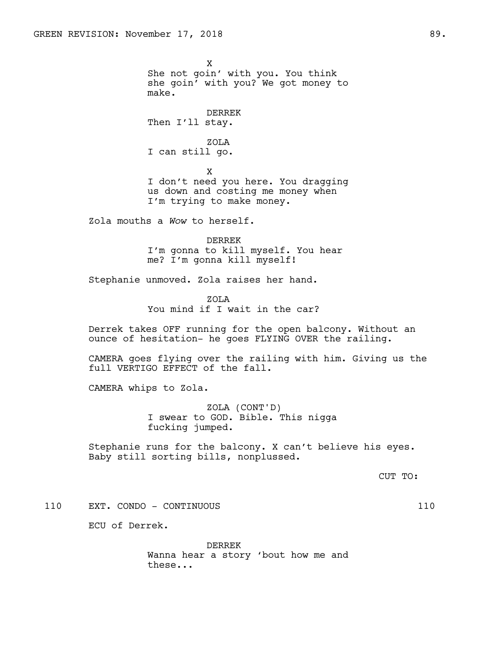She not goin' with you. You think she goin' with you? We got money to make. DERREK Then I'll stay. ZOLA I can still go. X I don't need you here. You dragging us down and costing me money when I'm trying to make money.

X

Zola mouths a *Wow* to herself.

DERREK I'm gonna to kill myself. You hear me? I'm gonna kill myself!

Stephanie unmoved. Zola raises her hand.

ZOLA You mind if I wait in the car?

Derrek takes OFF running for the open balcony. Without an ounce of hesitation- he goes FLYING OVER the railing.

CAMERA goes flying over the railing with him. Giving us the full VERTIGO EFFECT of the fall.

CAMERA whips to Zola.

ZOLA (CONT'D) I swear to GOD. Bible. This nigga fucking jumped.

Stephanie runs for the balcony. X can't believe his eyes. Baby still sorting bills, nonplussed.

CUT TO:

110 EXT. CONDO - CONTINUOUS 110

ECU of Derrek.

DERREK Wanna hear a story 'bout how me and these...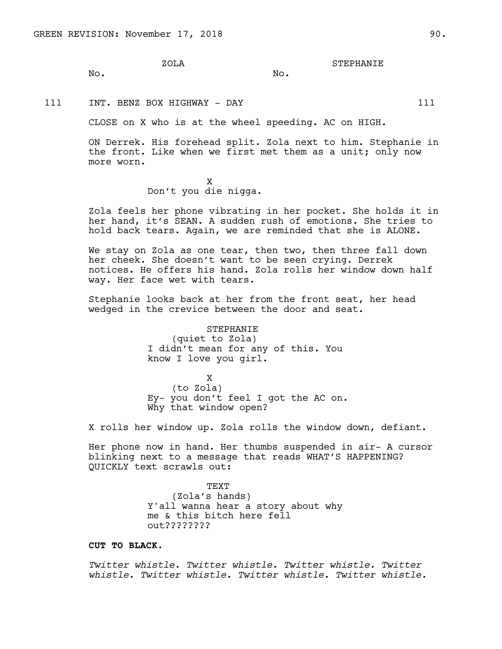STEPHANIE

No.

## 111 INT. BENZ BOX HIGHWAY - DAY 111

ZOLA

CLOSE on X who is at the wheel speeding. AC on HIGH.

ON Derrek. His forehead split. Zola next to him. Stephanie in the front. Like when we first met them as a unit; only now more worn.

No.

X Don't you die nigga.

Zola feels her phone vibrating in her pocket. She holds it in her hand, it's SEAN. A sudden rush of emotions. She tries to hold back tears. Again, we are reminded that she is ALONE.

We stay on Zola as one tear, then two, then three fall down her cheek. She doesn't want to be seen crying. Derrek notices. He offers his hand. Zola rolls her window down half way. Her face wet with tears.

Stephanie looks back at her from the front seat, her head wedged in the crevice between the door and seat.

> STEPHANIE (quiet to Zola) I didn't mean for any of this. You know I love you girl.

X (to Zola) Ey- you don't feel I got the AC on. Why that window open?

X rolls her window up. Zola rolls the window down, defiant.

Her phone now in hand. Her thumbs suspended in air- A cursor blinking next to a message that reads WHAT'S HAPPENING? QUICKLY text scrawls out:

> TEXT (Zola's hands) Y'all wanna hear a story about why me & this bitch here fell out????????

## **CUT TO BLACK.**

*Twitter whistle. Twitter whistle. Twitter whistle. Twitter whistle. Twitter whistle. Twitter whistle. Twitter whistle.*